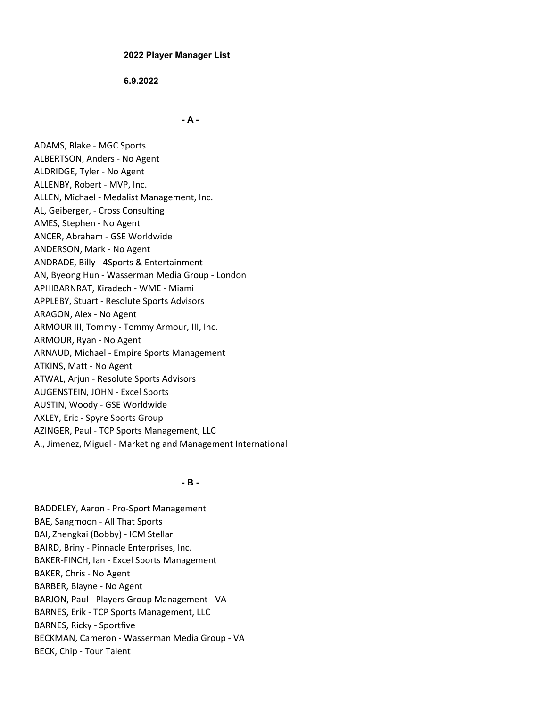### 2022 Player Manager List

6.9.2022

- A -

ADAMS, Blake - MGC Sports ALBERTSON, Anders - No Agent ALDRIDGE, Tyler - No Agent ALLENBY, Robert - MVP, Inc. ALLEN, Michael - Medalist Management, Inc. AL, Geiberger, - Cross Consulting AMES, Stephen - No Agent ANCER, Abraham - GSE Worldwide ANDERSON, Mark - No Agent ANDRADE, Billy - 4Sports & Entertainment AN, Byeong Hun - Wasserman Media Group - London APHIBARNRAT, Kiradech - WME - Miami APPLEBY, Stuart - Resolute Sports Advisors ARAGON, Alex - No Agent ARMOUR III, Tommy - Tommy Armour, III, Inc. ARMOUR, Ryan - No Agent ARNAUD, Michael - Empire Sports Management ATKINS, Matt - No Agent ATWAL, Arjun - Resolute Sports Advisors AUGENSTEIN, JOHN - Excel Sports AUSTIN, Woody - GSE Worldwide AXLEY, Eric - Spyre Sports Group AZINGER, Paul - TCP Sports Management, LLC A., Jimenez, Miguel - Marketing and Management International

### - B -

BADDELEY, Aaron - Pro-Sport Management BAE, Sangmoon - All That Sports BAI, Zhengkai (Bobby) - ICM Stellar BAIRD, Briny - Pinnacle Enterprises, Inc. BAKER-FINCH, Ian - Excel Sports Management BAKER, Chris - No Agent BARBER, Blayne - No Agent BARJON, Paul - Players Group Management - VA BARNES, Erik - TCP Sports Management, LLC BARNES, Ricky - Sportfive BECKMAN, Cameron - Wasserman Media Group - VA BECK, Chip - Tour Talent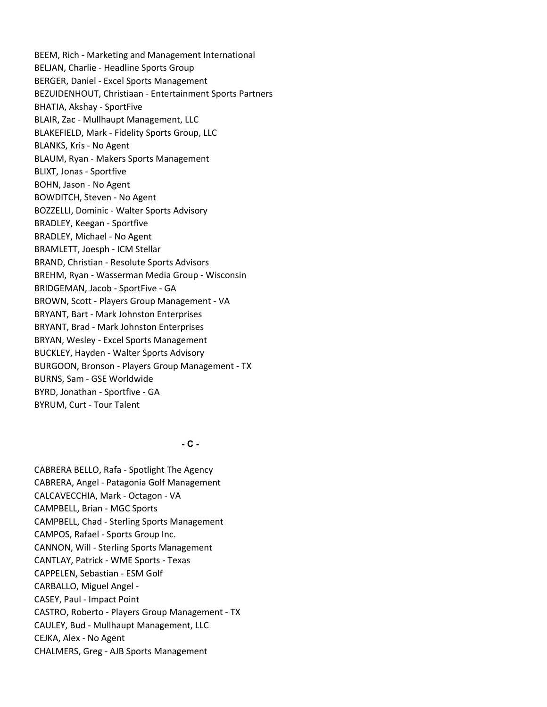BEEM, Rich - Marketing and Management International BELJAN, Charlie - Headline Sports Group BERGER, Daniel - Excel Sports Management BEZUIDENHOUT, Christiaan - Entertainment Sports Partners BHATIA, Akshay - SportFive BLAIR, Zac - Mullhaupt Management, LLC BLAKEFIELD, Mark - Fidelity Sports Group, LLC BLANKS, Kris - No Agent BLAUM, Ryan - Makers Sports Management BLIXT, Jonas - Sportfive BOHN, Jason - No Agent BOWDITCH, Steven - No Agent BOZZELLI, Dominic - Walter Sports Advisory BRADLEY, Keegan - Sportfive BRADLEY, Michael - No Agent BRAMLETT, Joesph - ICM Stellar BRAND, Christian - Resolute Sports Advisors BREHM, Ryan - Wasserman Media Group - Wisconsin BRIDGEMAN, Jacob - SportFive - GA BROWN, Scott - Players Group Management - VA BRYANT, Bart - Mark Johnston Enterprises BRYANT, Brad - Mark Johnston Enterprises BRYAN, Wesley - Excel Sports Management BUCKLEY, Hayden - Walter Sports Advisory BURGOON, Bronson - Players Group Management - TX BURNS, Sam - GSE Worldwide BYRD, Jonathan - Sportfive - GA BYRUM, Curt - Tour Talent

 $-C -$ 

CABRERA BELLO, Rafa - Spotlight The Agency CABRERA, Angel - Patagonia Golf Management CALCAVECCHIA, Mark - Octagon - VA CAMPBELL, Brian - MGC Sports CAMPBELL, Chad - Sterling Sports Management CAMPOS, Rafael - Sports Group Inc. CANNON, Will - Sterling Sports Management CANTLAY, Patrick - WME Sports - Texas CAPPELEN, Sebastian - ESM Golf CARBALLO, Miguel Angel - CASEY, Paul - Impact Point CASTRO, Roberto - Players Group Management - TX CAULEY, Bud - Mullhaupt Management, LLC CEJKA, Alex - No Agent CHALMERS, Greg - AJB Sports Management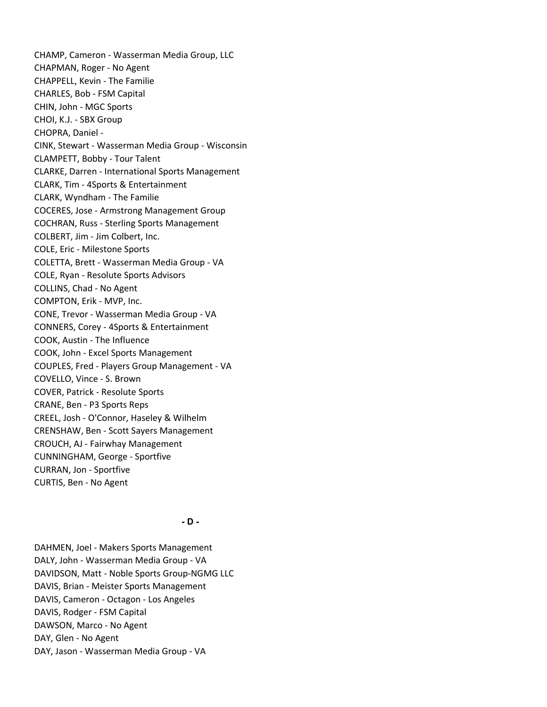CHAMP, Cameron - Wasserman Media Group, LLC CHAPMAN, Roger - No Agent CHAPPELL, Kevin - The Familie CHARLES, Bob - FSM Capital CHIN, John - MGC Sports CHOI, K.J. - SBX Group CHOPRA, Daniel - CINK, Stewart - Wasserman Media Group - Wisconsin CLAMPETT, Bobby - Tour Talent CLARKE, Darren - International Sports Management CLARK, Tim - 4Sports & Entertainment CLARK, Wyndham - The Familie COCERES, Jose - Armstrong Management Group COCHRAN, Russ - Sterling Sports Management COLBERT, Jim - Jim Colbert, Inc. COLE, Eric - Milestone Sports COLETTA, Brett - Wasserman Media Group - VA COLE, Ryan - Resolute Sports Advisors COLLINS, Chad - No Agent COMPTON, Erik - MVP, Inc. CONE, Trevor - Wasserman Media Group - VA CONNERS, Corey - 4Sports & Entertainment COOK, Austin - The Influence COOK, John - Excel Sports Management COUPLES, Fred - Players Group Management - VA COVELLO, Vince - S. Brown COVER, Patrick - Resolute Sports CRANE, Ben - P3 Sports Reps CREEL, Josh - O'Connor, Haseley & Wilhelm CRENSHAW, Ben - Scott Sayers Management CROUCH, AJ - Fairwhay Management CUNNINGHAM, George - Sportfive CURRAN, Jon - Sportfive CURTIS, Ben - No Agent

- D -

DAHMEN, Joel - Makers Sports Management DALY, John - Wasserman Media Group - VA DAVIDSON, Matt - Noble Sports Group-NGMG LLC DAVIS, Brian - Meister Sports Management DAVIS, Cameron - Octagon - Los Angeles DAVIS, Rodger - FSM Capital DAWSON, Marco - No Agent DAY, Glen - No Agent DAY, Jason - Wasserman Media Group - VA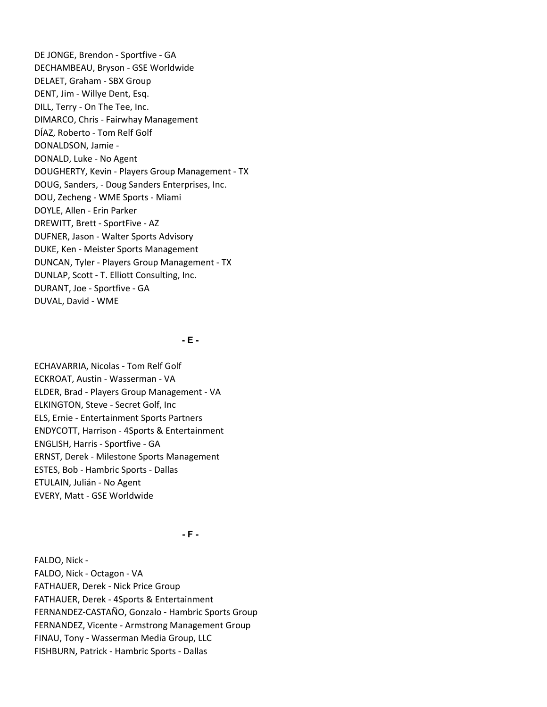DE JONGE, Brendon - Sportfive - GA DECHAMBEAU, Bryson - GSE Worldwide DELAET, Graham - SBX Group DENT, Jim - Willye Dent, Esq. DILL, Terry - On The Tee, Inc. DIMARCO, Chris - Fairwhay Management DÍAZ, Roberto - Tom Relf Golf DONALDSON, Jamie - DONALD, Luke - No Agent DOUGHERTY, Kevin - Players Group Management - TX DOUG, Sanders, - Doug Sanders Enterprises, Inc. DOU, Zecheng - WME Sports - Miami DOYLE, Allen - Erin Parker DREWITT, Brett - SportFive - AZ DUFNER, Jason - Walter Sports Advisory DUKE, Ken - Meister Sports Management DUNCAN, Tyler - Players Group Management - TX DUNLAP, Scott - T. Elliott Consulting, Inc. DURANT, Joe - Sportfive - GA DUVAL, David - WME

- E -

ECHAVARRIA, Nicolas - Tom Relf Golf ECKROAT, Austin - Wasserman - VA ELDER, Brad - Players Group Management - VA ELKINGTON, Steve - Secret Golf, Inc ELS, Ernie - Entertainment Sports Partners ENDYCOTT, Harrison - 4Sports & Entertainment ENGLISH, Harris - Sportfive - GA ERNST, Derek - Milestone Sports Management ESTES, Bob - Hambric Sports - Dallas ETULAIN, Julián - No Agent EVERY, Matt - GSE Worldwide

- F -

FALDO, Nick - FALDO, Nick - Octagon - VA FATHAUER, Derek - Nick Price Group FATHAUER, Derek - 4Sports & Entertainment FERNANDEZ-CASTAÑO, Gonzalo - Hambric Sports Group FERNANDEZ, Vicente - Armstrong Management Group FINAU, Tony - Wasserman Media Group, LLC FISHBURN, Patrick - Hambric Sports - Dallas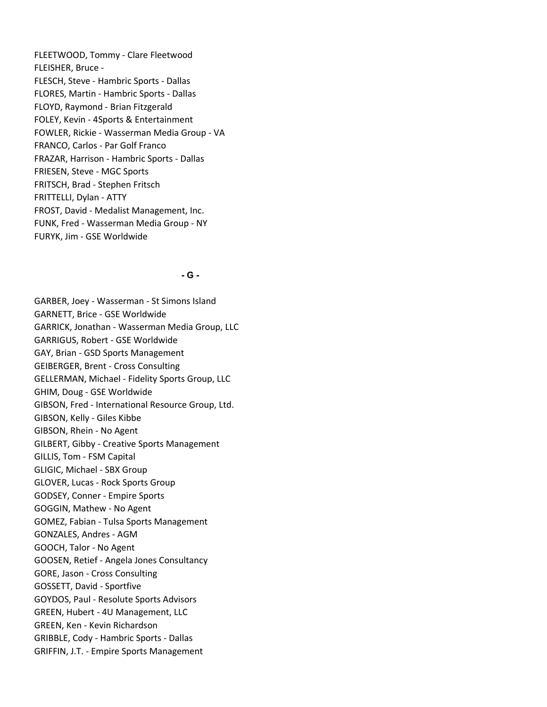FLEETWOOD, Tommy - Clare Fleetwood FLEISHER, Bruce - FLESCH, Steve - Hambric Sports - Dallas FLORES, Martin - Hambric Sports - Dallas FLOYD, Raymond - Brian Fitzgerald FOLEY, Kevin - 4Sports & Entertainment FOWLER, Rickie - Wasserman Media Group - VA FRANCO, Carlos - Par Golf Franco FRAZAR, Harrison - Hambric Sports - Dallas FRIESEN, Steve - MGC Sports FRITSCH, Brad - Stephen Fritsch FRITTELLI, Dylan - ATTY FROST, David - Medalist Management, Inc. FUNK, Fred - Wasserman Media Group - NY FURYK, Jim - GSE Worldwide

### - G -

GARBER, Joey - Wasserman - St Simons Island GARNETT, Brice - GSE Worldwide GARRICK, Jonathan - Wasserman Media Group, LLC GARRIGUS, Robert - GSE Worldwide GAY, Brian - GSD Sports Management GEIBERGER, Brent - Cross Consulting GELLERMAN, Michael - Fidelity Sports Group, LLC GHIM, Doug - GSE Worldwide GIBSON, Fred - International Resource Group, Ltd. GIBSON, Kelly - Giles Kibbe GIBSON, Rhein - No Agent GILBERT, Gibby - Creative Sports Management GILLIS, Tom - FSM Capital GLIGIC, Michael - SBX Group GLOVER, Lucas - Rock Sports Group GODSEY, Conner - Empire Sports GOGGIN, Mathew - No Agent GOMEZ, Fabian - Tulsa Sports Management GONZALES, Andres - AGM GOOCH, Talor - No Agent GOOSEN, Retief - Angela Jones Consultancy GORE, Jason - Cross Consulting GOSSETT, David - Sportfive GOYDOS, Paul - Resolute Sports Advisors GREEN, Hubert - 4U Management, LLC GREEN, Ken - Kevin Richardson GRIBBLE, Cody - Hambric Sports - Dallas GRIFFIN, J.T. - Empire Sports Management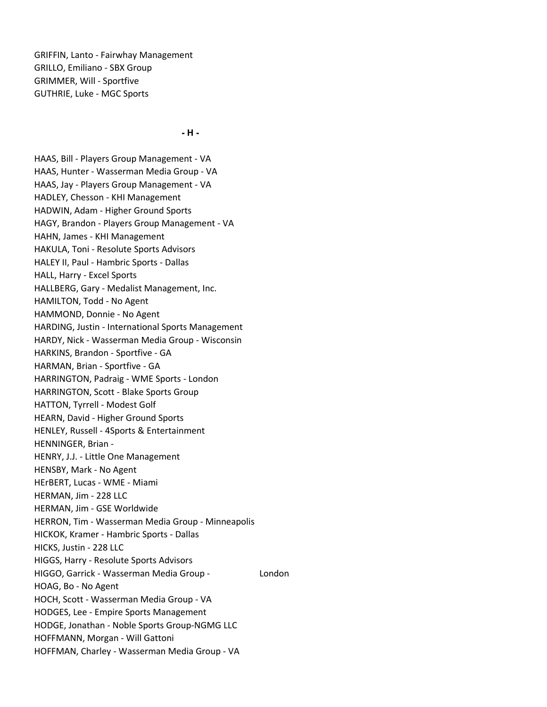GRIFFIN, Lanto - Fairwhay Management GRILLO, Emiliano - SBX Group GRIMMER, Will - Sportfive GUTHRIE, Luke - MGC Sports

- H -

HAAS, Bill - Players Group Management - VA HAAS, Hunter - Wasserman Media Group - VA HAAS, Jay - Players Group Management - VA HADLEY, Chesson - KHI Management HADWIN, Adam - Higher Ground Sports HAGY, Brandon - Players Group Management - VA HAHN, James - KHI Management HAKULA, Toni - Resolute Sports Advisors HALEY II, Paul - Hambric Sports - Dallas HALL, Harry - Excel Sports HALLBERG, Gary - Medalist Management, Inc. HAMILTON, Todd - No Agent HAMMOND, Donnie - No Agent HARDING, Justin - International Sports Management HARDY, Nick - Wasserman Media Group - Wisconsin HARKINS, Brandon - Sportfive - GA HARMAN, Brian - Sportfive - GA HARRINGTON, Padraig - WME Sports - London HARRINGTON, Scott - Blake Sports Group HATTON, Tyrrell - Modest Golf HEARN, David - Higher Ground Sports HENLEY, Russell - 4Sports & Entertainment HENNINGER, Brian - HENRY, J.J. - Little One Management HENSBY, Mark - No Agent HErBERT, Lucas - WME - Miami HERMAN, Jim - 228 LLC HERMAN, Jim - GSE Worldwide HERRON, Tim - Wasserman Media Group - Minneapolis HICKOK, Kramer - Hambric Sports - Dallas HICKS, Justin - 228 LLC HIGGS, Harry - Resolute Sports Advisors HIGGO, Garrick - Wasserman Media Group - London HOAG, Bo - No Agent HOCH, Scott - Wasserman Media Group - VA HODGES, Lee - Empire Sports Management HODGE, Jonathan - Noble Sports Group-NGMG LLC HOFFMANN, Morgan - Will Gattoni HOFFMAN, Charley - Wasserman Media Group - VA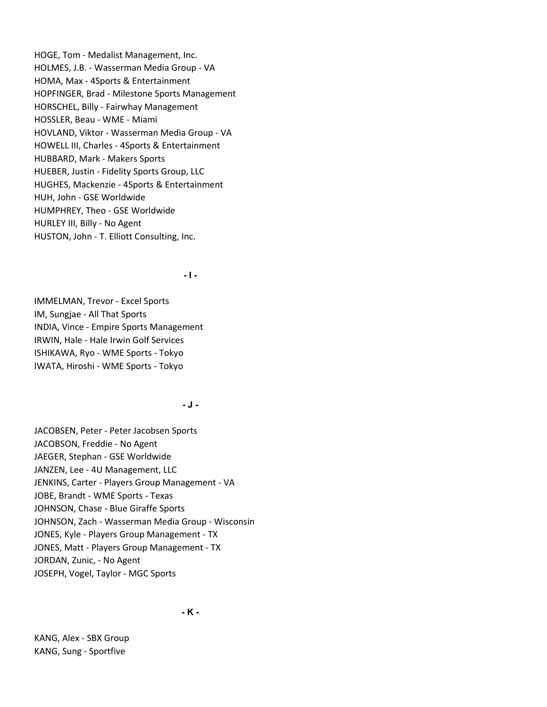HOGE, Tom - Medalist Management, Inc. HOLMES, J.B. - Wasserman Media Group - VA HOMA, Max - 4Sports & Entertainment HOPFINGER, Brad - Milestone Sports Management HORSCHEL, Billy - Fairwhay Management HOSSLER, Beau - WME - Miami HOVLAND, Viktor - Wasserman Media Group - VA HOWELL III, Charles - 4Sports & Entertainment HUBBARD, Mark - Makers Sports HUEBER, Justin - Fidelity Sports Group, LLC HUGHES, Mackenzie - 4Sports & Entertainment HUH, John - GSE Worldwide HUMPHREY, Theo - GSE Worldwide HURLEY III, Billy - No Agent HUSTON, John - T. Elliott Consulting, Inc.

- I -

IMMELMAN, Trevor - Excel Sports IM, Sungjae - All That Sports INDIA, Vince - Empire Sports Management IRWIN, Hale - Hale Irwin Golf Services ISHIKAWA, Ryo - WME Sports - Tokyo IWATA, Hiroshi - WME Sports - Tokyo

- J -

JACOBSEN, Peter - Peter Jacobsen Sports JACOBSON, Freddie - No Agent JAEGER, Stephan - GSE Worldwide JANZEN, Lee - 4U Management, LLC JENKINS, Carter - Players Group Management - VA JOBE, Brandt - WME Sports - Texas JOHNSON, Chase - Blue Giraffe Sports JOHNSON, Zach - Wasserman Media Group - Wisconsin JONES, Kyle - Players Group Management - TX JONES, Matt - Players Group Management - TX JORDAN, Zunic, - No Agent JOSEPH, Vogel, Taylor - MGC Sports

- K -

KANG, Alex - SBX Group KANG, Sung - Sportfive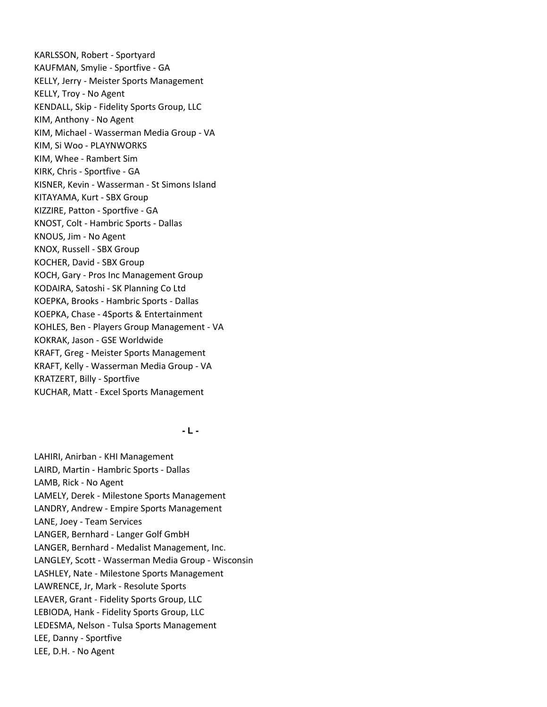KARLSSON, Robert - Sportyard KAUFMAN, Smylie - Sportfive - GA KELLY, Jerry - Meister Sports Management KELLY, Troy - No Agent KENDALL, Skip - Fidelity Sports Group, LLC KIM, Anthony - No Agent KIM, Michael - Wasserman Media Group - VA KIM, Si Woo - PLAYNWORKS KIM, Whee - Rambert Sim KIRK, Chris - Sportfive - GA KISNER, Kevin - Wasserman - St Simons Island KITAYAMA, Kurt - SBX Group KIZZIRE, Patton - Sportfive - GA KNOST, Colt - Hambric Sports - Dallas KNOUS, Jim - No Agent KNOX, Russell - SBX Group KOCHER, David - SBX Group KOCH, Gary - Pros Inc Management Group KODAIRA, Satoshi - SK Planning Co Ltd KOEPKA, Brooks - Hambric Sports - Dallas KOEPKA, Chase - 4Sports & Entertainment KOHLES, Ben - Players Group Management - VA KOKRAK, Jason - GSE Worldwide KRAFT, Greg - Meister Sports Management KRAFT, Kelly - Wasserman Media Group - VA KRATZERT, Billy - Sportfive KUCHAR, Matt - Excel Sports Management

 $-L -$ 

LAHIRI, Anirban - KHI Management LAIRD, Martin - Hambric Sports - Dallas LAMB, Rick - No Agent LAMELY, Derek - Milestone Sports Management LANDRY, Andrew - Empire Sports Management LANE, Joey - Team Services LANGER, Bernhard - Langer Golf GmbH LANGER, Bernhard - Medalist Management, Inc. LANGLEY, Scott - Wasserman Media Group - Wisconsin LASHLEY, Nate - Milestone Sports Management LAWRENCE, Jr, Mark - Resolute Sports LEAVER, Grant - Fidelity Sports Group, LLC LEBIODA, Hank - Fidelity Sports Group, LLC LEDESMA, Nelson - Tulsa Sports Management LEE, Danny - Sportfive LEE, D.H. - No Agent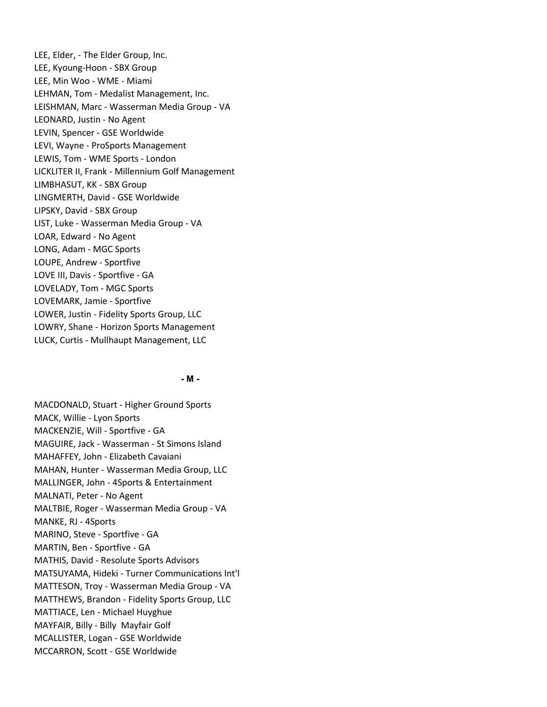LEE, Elder, - The Elder Group, Inc. LEE, Kyoung-Hoon - SBX Group LEE, Min Woo - WME - Miami LEHMAN, Tom - Medalist Management, Inc. LEISHMAN, Marc - Wasserman Media Group - VA LEONARD, Justin - No Agent LEVIN, Spencer - GSE Worldwide LEVI, Wayne - ProSports Management LEWIS, Tom - WME Sports - London LICKLITER II, Frank - Millennium Golf Management LIMBHASUT, KK - SBX Group LINGMERTH, David - GSE Worldwide LIPSKY, David - SBX Group LIST, Luke - Wasserman Media Group - VA LOAR, Edward - No Agent LONG, Adam - MGC Sports LOUPE, Andrew - Sportfive LOVE III, Davis - Sportfive - GA LOVELADY, Tom - MGC Sports LOVEMARK, Jamie - Sportfive LOWER, Justin - Fidelity Sports Group, LLC LOWRY, Shane - Horizon Sports Management LUCK, Curtis - Mullhaupt Management, LLC

### - M -

MACDONALD, Stuart - Higher Ground Sports MACK, Willie - Lyon Sports MACKENZIE, Will - Sportfive - GA MAGUIRE, Jack - Wasserman - St Simons Island MAHAFFEY, John - Elizabeth Cavaiani MAHAN, Hunter - Wasserman Media Group, LLC MALLINGER, John - 4Sports & Entertainment MALNATI, Peter - No Agent MALTBIE, Roger - Wasserman Media Group - VA MANKE, RJ - 4Sports MARINO, Steve - Sportfive - GA MARTIN, Ben - Sportfive - GA MATHIS, David - Resolute Sports Advisors MATSUYAMA, Hideki - Turner Communications Int'l MATTESON, Troy - Wasserman Media Group - VA MATTHEWS, Brandon - Fidelity Sports Group, LLC MATTIACE, Len - Michael Huyghue MAYFAIR, Billy - Billy Mayfair Golf MCALLISTER, Logan - GSE Worldwide MCCARRON, Scott - GSE Worldwide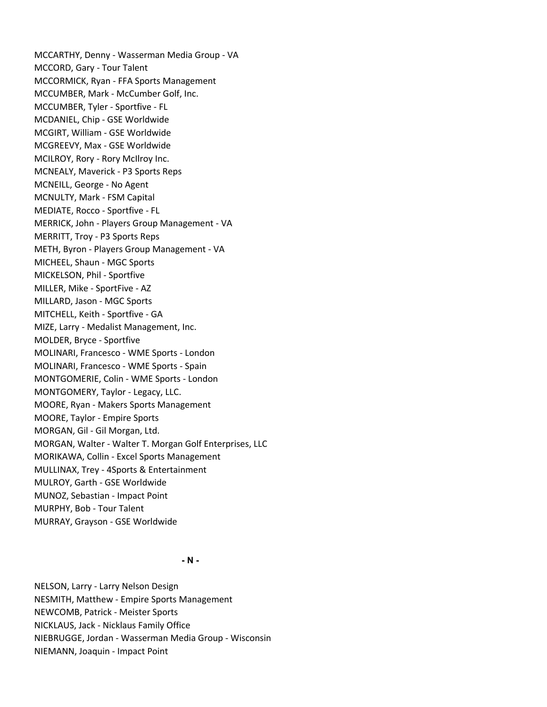MCCARTHY, Denny - Wasserman Media Group - VA MCCORD, Gary - Tour Talent MCCORMICK, Ryan - FFA Sports Management MCCUMBER, Mark - McCumber Golf, Inc. MCCUMBER, Tyler - Sportfive - FL MCDANIEL, Chip - GSE Worldwide MCGIRT, William - GSE Worldwide MCGREEVY, Max - GSE Worldwide MCILROY, Rory - Rory McIlroy Inc. MCNEALY, Maverick - P3 Sports Reps MCNEILL, George - No Agent MCNULTY, Mark - FSM Capital MEDIATE, Rocco - Sportfive - FL MERRICK, John - Players Group Management - VA MERRITT, Troy - P3 Sports Reps METH, Byron - Players Group Management - VA MICHEEL, Shaun - MGC Sports MICKELSON, Phil - Sportfive MILLER, Mike - SportFive - AZ MILLARD, Jason - MGC Sports MITCHELL, Keith - Sportfive - GA MIZE, Larry - Medalist Management, Inc. MOLDER, Bryce - Sportfive MOLINARI, Francesco - WME Sports - London MOLINARI, Francesco - WME Sports - Spain MONTGOMERIE, Colin - WME Sports - London MONTGOMERY, Taylor - Legacy, LLC. MOORE, Ryan - Makers Sports Management MOORE, Taylor - Empire Sports MORGAN, Gil - Gil Morgan, Ltd. MORGAN, Walter - Walter T. Morgan Golf Enterprises, LLC MORIKAWA, Collin - Excel Sports Management MULLINAX, Trey - 4Sports & Entertainment MULROY, Garth - GSE Worldwide MUNOZ, Sebastian - Impact Point MURPHY, Bob - Tour Talent MURRAY, Grayson - GSE Worldwide

- N -

NELSON, Larry - Larry Nelson Design NESMITH, Matthew - Empire Sports Management NEWCOMB, Patrick - Meister Sports NICKLAUS, Jack - Nicklaus Family Office NIEBRUGGE, Jordan - Wasserman Media Group - Wisconsin NIEMANN, Joaquin - Impact Point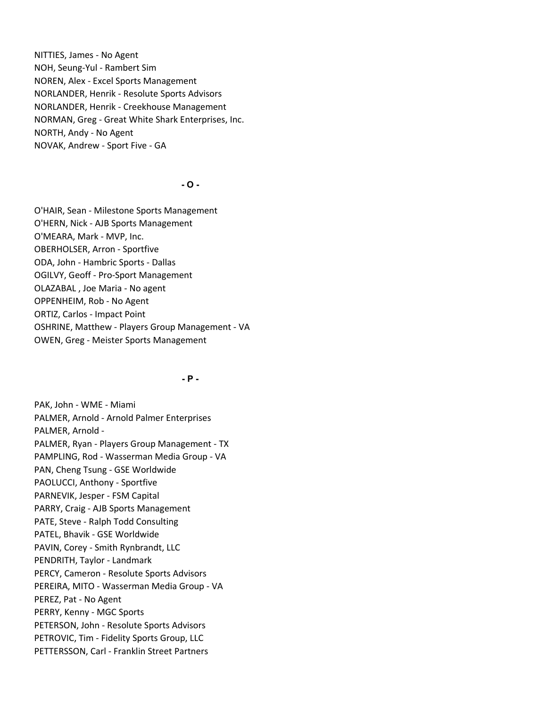NITTIES, James - No Agent NOH, Seung-Yul - Rambert Sim NOREN, Alex - Excel Sports Management NORLANDER, Henrik - Resolute Sports Advisors NORLANDER, Henrik - Creekhouse Management NORMAN, Greg - Great White Shark Enterprises, Inc. NORTH, Andy - No Agent NOVAK, Andrew - Sport Five - GA

### $-$  O  $-$

O'HAIR, Sean - Milestone Sports Management O'HERN, Nick - AJB Sports Management O'MEARA, Mark - MVP, Inc. OBERHOLSER, Arron - Sportfive ODA, John - Hambric Sports - Dallas OGILVY, Geoff - Pro-Sport Management OLAZABAL , Joe Maria - No agent OPPENHEIM, Rob - No Agent ORTIZ, Carlos - Impact Point OSHRINE, Matthew - Players Group Management - VA OWEN, Greg - Meister Sports Management

# $- P -$

PAK, John - WME - Miami PALMER, Arnold - Arnold Palmer Enterprises PALMER, Arnold - PALMER, Ryan - Players Group Management - TX PAMPLING, Rod - Wasserman Media Group - VA PAN, Cheng Tsung - GSE Worldwide PAOLUCCI, Anthony - Sportfive PARNEVIK, Jesper - FSM Capital PARRY, Craig - AJB Sports Management PATE, Steve - Ralph Todd Consulting PATEL, Bhavik - GSE Worldwide PAVIN, Corey - Smith Rynbrandt, LLC PENDRITH, Taylor - Landmark PERCY, Cameron - Resolute Sports Advisors PEREIRA, MITO - Wasserman Media Group - VA PEREZ, Pat - No Agent PERRY, Kenny - MGC Sports PETERSON, John - Resolute Sports Advisors PETROVIC, Tim - Fidelity Sports Group, LLC PETTERSSON, Carl - Franklin Street Partners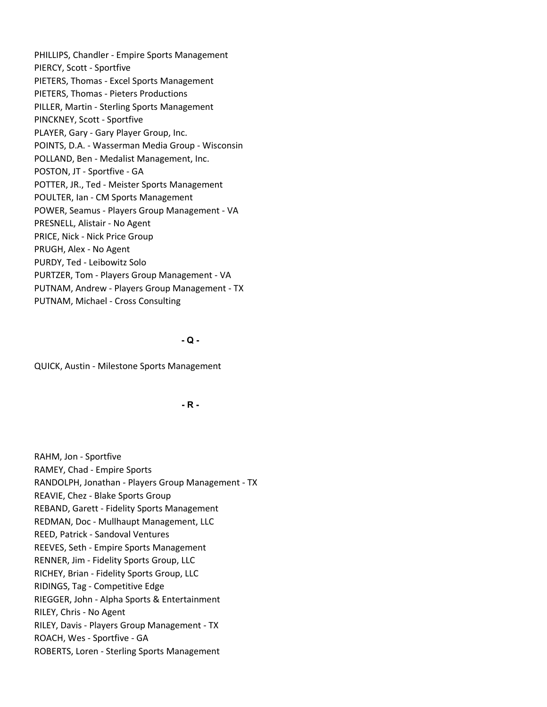PHILLIPS, Chandler - Empire Sports Management PIERCY, Scott - Sportfive PIETERS, Thomas - Excel Sports Management PIETERS, Thomas - Pieters Productions PILLER, Martin - Sterling Sports Management PINCKNEY, Scott - Sportfive PLAYER, Gary - Gary Player Group, Inc. POINTS, D.A. - Wasserman Media Group - Wisconsin POLLAND, Ben - Medalist Management, Inc. POSTON, JT - Sportfive - GA POTTER, JR., Ted - Meister Sports Management POULTER, Ian - CM Sports Management POWER, Seamus - Players Group Management - VA PRESNELL, Alistair - No Agent PRICE, Nick - Nick Price Group PRUGH, Alex - No Agent PURDY, Ted - Leibowitz Solo PURTZER, Tom - Players Group Management - VA PUTNAM, Andrew - Players Group Management - TX PUTNAM, Michael - Cross Consulting

 $-Q -$ 

QUICK, Austin - Milestone Sports Management

- R -

RAHM, Jon - Sportfive RAMEY, Chad - Empire Sports RANDOLPH, Jonathan - Players Group Management - TX REAVIE, Chez - Blake Sports Group REBAND, Garett - Fidelity Sports Management REDMAN, Doc - Mullhaupt Management, LLC REED, Patrick - Sandoval Ventures REEVES, Seth - Empire Sports Management RENNER, Jim - Fidelity Sports Group, LLC RICHEY, Brian - Fidelity Sports Group, LLC RIDINGS, Tag - Competitive Edge RIEGGER, John - Alpha Sports & Entertainment RILEY, Chris - No Agent RILEY, Davis - Players Group Management - TX ROACH, Wes - Sportfive - GA ROBERTS, Loren - Sterling Sports Management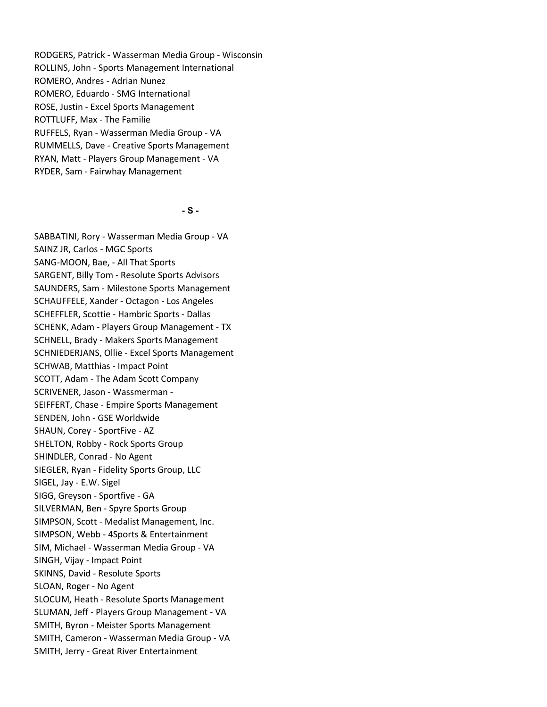RODGERS, Patrick - Wasserman Media Group - Wisconsin ROLLINS, John - Sports Management International ROMERO, Andres - Adrian Nunez ROMERO, Eduardo - SMG International ROSE, Justin - Excel Sports Management ROTTLUFF, Max - The Familie RUFFELS, Ryan - Wasserman Media Group - VA RUMMELLS, Dave - Creative Sports Management RYAN, Matt - Players Group Management - VA RYDER, Sam - Fairwhay Management

- S -

SABBATINI, Rory - Wasserman Media Group - VA SAINZ JR, Carlos - MGC Sports SANG-MOON, Bae, - All That Sports SARGENT, Billy Tom - Resolute Sports Advisors SAUNDERS, Sam - Milestone Sports Management SCHAUFFELE, Xander - Octagon - Los Angeles SCHEFFLER, Scottie - Hambric Sports - Dallas SCHENK, Adam - Players Group Management - TX SCHNELL, Brady - Makers Sports Management SCHNIEDERJANS, Ollie - Excel Sports Management SCHWAB, Matthias - Impact Point SCOTT, Adam - The Adam Scott Company SCRIVENER, Jason - Wassmerman - SEIFFERT, Chase - Empire Sports Management SENDEN, John - GSE Worldwide SHAUN, Corey - SportFive - AZ SHELTON, Robby - Rock Sports Group SHINDLER, Conrad - No Agent SIEGLER, Ryan - Fidelity Sports Group, LLC SIGEL, Jay - E.W. Sigel SIGG, Greyson - Sportfive - GA SILVERMAN, Ben - Spyre Sports Group SIMPSON, Scott - Medalist Management, Inc. SIMPSON, Webb - 4Sports & Entertainment SIM, Michael - Wasserman Media Group - VA SINGH, Vijay - Impact Point SKINNS, David - Resolute Sports SLOAN, Roger - No Agent SLOCUM, Heath - Resolute Sports Management SLUMAN, Jeff - Players Group Management - VA SMITH, Byron - Meister Sports Management SMITH, Cameron - Wasserman Media Group - VA SMITH, Jerry - Great River Entertainment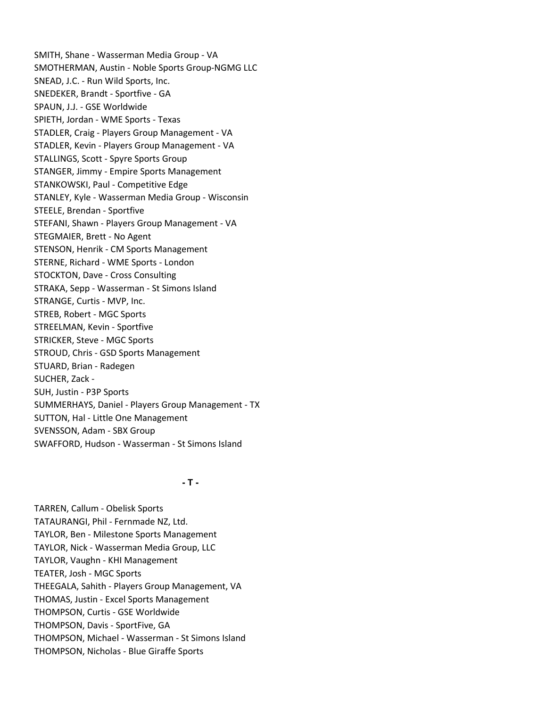SMITH, Shane - Wasserman Media Group - VA SMOTHERMAN, Austin - Noble Sports Group-NGMG LLC SNEAD, J.C. - Run Wild Sports, Inc. SNEDEKER, Brandt - Sportfive - GA SPAUN, J.J. - GSE Worldwide SPIETH, Jordan - WME Sports - Texas STADLER, Craig - Players Group Management - VA STADLER, Kevin - Players Group Management - VA STALLINGS, Scott - Spyre Sports Group STANGER, Jimmy - Empire Sports Management STANKOWSKI, Paul - Competitive Edge STANLEY, Kyle - Wasserman Media Group - Wisconsin STEELE, Brendan - Sportfive STEFANI, Shawn - Players Group Management - VA STEGMAIER, Brett - No Agent STENSON, Henrik - CM Sports Management STERNE, Richard - WME Sports - London STOCKTON, Dave - Cross Consulting STRAKA, Sepp - Wasserman - St Simons Island STRANGE, Curtis - MVP, Inc. STREB, Robert - MGC Sports STREELMAN, Kevin - Sportfive STRICKER, Steve - MGC Sports STROUD, Chris - GSD Sports Management STUARD, Brian - Radegen SUCHER, Zack - SUH, Justin - P3P Sports SUMMERHAYS, Daniel - Players Group Management - TX SUTTON, Hal - Little One Management SVENSSON, Adam - SBX Group SWAFFORD, Hudson - Wasserman - St Simons Island

# $-$  T  $-$

TARREN, Callum - Obelisk Sports TATAURANGI, Phil - Fernmade NZ, Ltd. TAYLOR, Ben - Milestone Sports Management TAYLOR, Nick - Wasserman Media Group, LLC TAYLOR, Vaughn - KHI Management TEATER, Josh - MGC Sports THEEGALA, Sahith - Players Group Management, VA THOMAS, Justin - Excel Sports Management THOMPSON, Curtis - GSE Worldwide THOMPSON, Davis - SportFive, GA THOMPSON, Michael - Wasserman - St Simons Island THOMPSON, Nicholas - Blue Giraffe Sports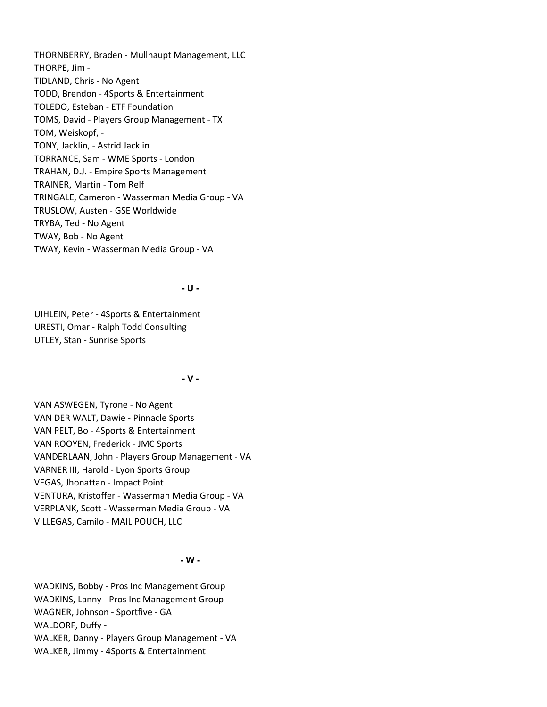THORNBERRY, Braden - Mullhaupt Management, LLC THORPE, Jim - TIDLAND, Chris - No Agent TODD, Brendon - 4Sports & Entertainment TOLEDO, Esteban - ETF Foundation TOMS, David - Players Group Management - TX TOM, Weiskopf, - TONY, Jacklin, - Astrid Jacklin TORRANCE, Sam - WME Sports - London TRAHAN, D.J. - Empire Sports Management TRAINER, Martin - Tom Relf TRINGALE, Cameron - Wasserman Media Group - VA TRUSLOW, Austen - GSE Worldwide TRYBA, Ted - No Agent TWAY, Bob - No Agent TWAY, Kevin - Wasserman Media Group - VA

### - U -

UIHLEIN, Peter - 4Sports & Entertainment URESTI, Omar - Ralph Todd Consulting UTLEY, Stan - Sunrise Sports

# - V -

VAN ASWEGEN, Tyrone - No Agent VAN DER WALT, Dawie - Pinnacle Sports VAN PELT, Bo - 4Sports & Entertainment VAN ROOYEN, Frederick - JMC Sports VANDERLAAN, John - Players Group Management - VA VARNER III, Harold - Lyon Sports Group VEGAS, Jhonattan - Impact Point VENTURA, Kristoffer - Wasserman Media Group - VA VERPLANK, Scott - Wasserman Media Group - VA VILLEGAS, Camilo - MAIL POUCH, LLC

# - W -

WADKINS, Bobby - Pros Inc Management Group WADKINS, Lanny - Pros Inc Management Group WAGNER, Johnson - Sportfive - GA WALDORF, Duffy - WALKER, Danny - Players Group Management - VA WALKER, Jimmy - 4Sports & Entertainment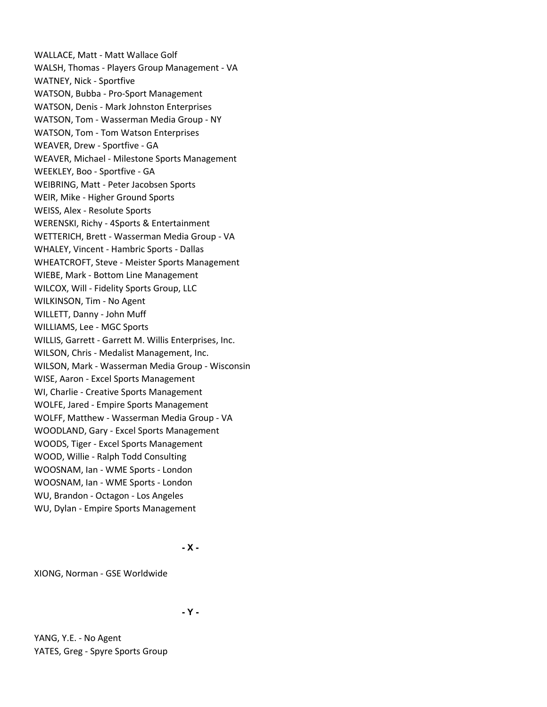WALLACE, Matt - Matt Wallace Golf WALSH, Thomas - Players Group Management - VA WATNEY, Nick - Sportfive WATSON, Bubba - Pro-Sport Management WATSON, Denis - Mark Johnston Enterprises WATSON, Tom - Wasserman Media Group - NY WATSON, Tom - Tom Watson Enterprises WEAVER, Drew - Sportfive - GA WEAVER, Michael - Milestone Sports Management WEEKLEY, Boo - Sportfive - GA WEIBRING, Matt - Peter Jacobsen Sports WEIR, Mike - Higher Ground Sports WEISS, Alex - Resolute Sports WERENSKI, Richy - 4Sports & Entertainment WETTERICH, Brett - Wasserman Media Group - VA WHALEY, Vincent - Hambric Sports - Dallas WHEATCROFT, Steve - Meister Sports Management WIEBE, Mark - Bottom Line Management WILCOX, Will - Fidelity Sports Group, LLC WILKINSON, Tim - No Agent WILLETT, Danny - John Muff WILLIAMS, Lee - MGC Sports WILLIS, Garrett - Garrett M. Willis Enterprises, Inc. WILSON, Chris - Medalist Management, Inc. WILSON, Mark - Wasserman Media Group - Wisconsin WISE, Aaron - Excel Sports Management WI, Charlie - Creative Sports Management WOLFE, Jared - Empire Sports Management WOLFF, Matthew - Wasserman Media Group - VA WOODLAND, Gary - Excel Sports Management WOODS, Tiger - Excel Sports Management WOOD, Willie - Ralph Todd Consulting WOOSNAM, Ian - WME Sports - London WOOSNAM, Ian - WME Sports - London WU, Brandon - Octagon - Los Angeles WU, Dylan - Empire Sports Management

- X -

XIONG, Norman - GSE Worldwide

- Y -

YANG, Y.E. - No Agent YATES, Greg - Spyre Sports Group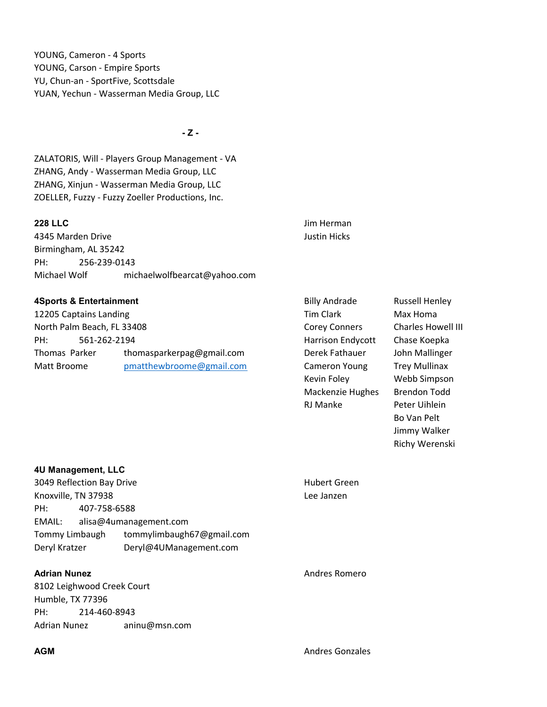YOUNG, Cameron - 4 Sports YOUNG, Carson - Empire Sports YU, Chun-an - SportFive, Scottsdale YUAN, Yechun - Wasserman Media Group, LLC

 $-Z -$ 

ZALATORIS, Will - Players Group Management - VA ZHANG, Andy - Wasserman Media Group, LLC ZHANG, Xinjun - Wasserman Media Group, LLC ZOELLER, Fuzzy - Fuzzy Zoeller Productions, Inc.

4345 Marden Drive **Justin Hicks** Birmingham, AL 35242 PH: 256-239-0143 Michael Wolf michaelwolfbearcat@yahoo.com

### **4Sports & Entertainment** About 2001 and Billy Andrade Russell Henley

12205 Captains Landing Tim Clark Max Homa North Palm Beach, FL 33408 Corey Conners Charles Howell III PH: 561-262-2194 Harrison Endycott Chase Koepka Thomas Parker thomasparkerpag@gmail.com Derek Fathauer John Mallinger Matt Broome **posithewbroome@gmail.com** Cameron Young Trey Mullinax

**228 LLC** Jim Herman

Kevin Foley Webb Simpson Mackenzie Hughes Brendon Todd RJ Manke Peter Uihlein

Bo Van Pelt Jimmy Walker Richy Werenski

|                     | 4U Management, LLC         |                           |               |
|---------------------|----------------------------|---------------------------|---------------|
|                     | 3049 Reflection Bay Drive  |                           | Hubert Green  |
| Knoxville, TN 37938 |                            |                           | Lee Janzen    |
| PH:                 | 407-758-6588               |                           |               |
| EMAIL:              | alisa@4umanagement.com     |                           |               |
| Tommy Limbaugh      |                            | tommylimbaugh67@gmail.com |               |
| Deryl Kratzer       |                            | Deryl@4UManagement.com    |               |
|                     |                            |                           |               |
| <b>Adrian Nunez</b> |                            |                           | Andres Romero |
|                     | 8102 Leighwood Creek Court |                           |               |
| Humble, TX 77396    |                            |                           |               |
| PH:                 | 214-460-8943               |                           |               |

Adrian Nunez aninu@msn.com

**AGM** Andres Gonzales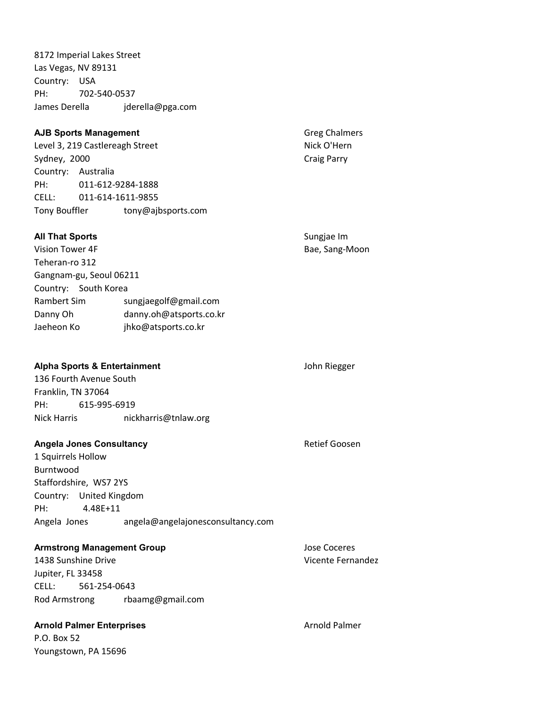8172 Imperial Lakes Street Las Vegas, NV 89131 Country: USA PH: 702-540-0537 James Derella jderella@pga.com

# AJB Sports Management Greg Chalmers Level 3, 219 Castlereagh Street Nick O'Hern Sydney, 2000 Craig Parry Country: Australia PH: 011-612-9284-1888 CELL: 011-614-1611-9855 Tony Bouffler tony@ajbsports.com All That Sports **Sungjae Im** Sungjae Im Vision Tower 4F **Bae, Sang-Moon** Teheran-ro 312

Gangnam-gu, Seoul 06211 Country: South Korea Rambert Sim sungjaegolf@gmail.com Danny Oh danny.oh@atsports.co.kr Jaeheon Ko jhko@atsports.co.kr

|                    | Alpha Sports & Entertainment |  |
|--------------------|------------------------------|--|
|                    | 136 Fourth Avenue South      |  |
| Franklin. TN 37064 |                              |  |
| PH:                | 615-995-6919                 |  |

# Nick Harris nickharris@tnlaw.org

# Angela Jones Consultancy **Angela Jones Consultancy Retief Goosen**

1 Squirrels Hollow Burntwood Staffordshire, WS7 2YS Country: United Kingdom PH: 4.48E+11 Angela Jones angela@angelajonesconsultancy.com

# Armstrong Management Group description of the Jose Coceres

1438 Sunshine Drive Vicente Fernandez Jupiter, FL 33458 CELL: 561-254-0643 Rod Armstrong rbaamg@gmail.com

# Arnold Palmer Enterprises Arnold Palmer

P.O. Box 52 Youngstown, PA 15696

John Riegger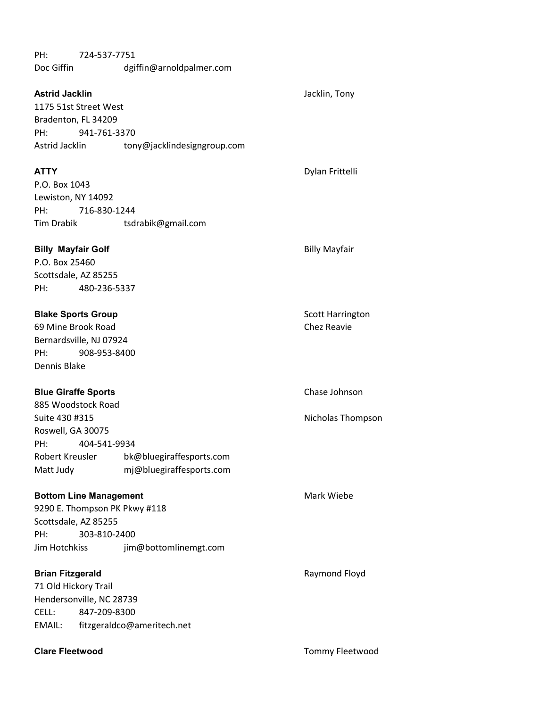| PH:<br>Doc Giffin                                                                                 | 724-537-7751 | dgiffin@arnoldpalmer.com                               |                                        |
|---------------------------------------------------------------------------------------------------|--------------|--------------------------------------------------------|----------------------------------------|
| <b>Astrid Jacklin</b><br>1175 51st Street West<br>Bradenton, FL 34209<br>PH:<br>Astrid Jacklin    | 941-761-3370 | tony@jacklindesigngroup.com                            | Jacklin, Tony                          |
| <b>ATTY</b><br>P.O. Box 1043<br>Lewiston, NY 14092<br>PH:<br>Tim Drabik                           | 716-830-1244 | tsdrabik@gmail.com                                     | Dylan Frittelli                        |
| <b>Billy Mayfair Golf</b><br>P.O. Box 25460<br>Scottsdale, AZ 85255<br>PH:                        | 480-236-5337 |                                                        | <b>Billy Mayfair</b>                   |
| <b>Blake Sports Group</b><br>69 Mine Brook Road<br>Bernardsville, NJ 07924<br>PH:<br>Dennis Blake | 908-953-8400 |                                                        | <b>Scott Harrington</b><br>Chez Reavie |
| <b>Blue Giraffe Sports</b><br>885 Woodstock Road<br>Suite 430 #315                                |              |                                                        | Chase Johnson                          |
| Roswell, GA 30075<br>PH:                                                                          | 404-541-9934 |                                                        | Nicholas Thompson                      |
| Robert Kreusler<br>Matt Judy                                                                      |              | bk@bluegiraffesports.com<br>mj@bluegiraffesports.com   |                                        |
| <b>Bottom Line Management</b><br>Scottsdale, AZ 85255<br>PH:<br>Jim Hotchkiss                     | 303-810-2400 | 9290 E. Thompson PK Pkwy #118<br>jim@bottomlinemgt.com | Mark Wiebe                             |
| <b>Brian Fitzgerald</b><br>71 Old Hickory Trail<br>Hendersonville, NC 28739<br>CELL:<br>EMAIL:    | 847-209-8300 | fitzgeraldco@ameritech.net                             | Raymond Floyd                          |

Clare Fleetwood **Clare Fleetwood Tommy Fleetwood**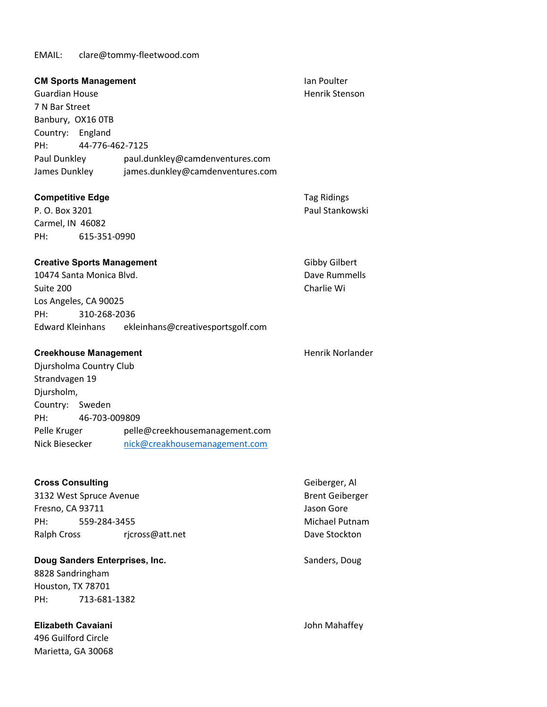EMAIL: clare@tommy-fleetwood.com

| <b>CM Sports Management</b><br><b>Guardian House</b><br>7 N Bar Street<br>Banbury, OX16 OTB<br>Country: England<br>PH:<br>44-776-462-7125<br>Paul Dunkley | paul.dunkley@camdenventures.com   | Ian Poulter<br>Henrik Stenson         |
|-----------------------------------------------------------------------------------------------------------------------------------------------------------|-----------------------------------|---------------------------------------|
| James Dunkley                                                                                                                                             | james.dunkley@camdenventures.com  |                                       |
| <b>Competitive Edge</b><br>P. O. Box 3201<br>Carmel, IN 46082<br>615-351-0990<br>PH:                                                                      |                                   | <b>Tag Ridings</b><br>Paul Stankowski |
| <b>Creative Sports Management</b>                                                                                                                         |                                   | <b>Gibby Gilbert</b>                  |
| 10474 Santa Monica Blvd.                                                                                                                                  |                                   | Dave Rummells                         |
| Suite 200                                                                                                                                                 |                                   | Charlie Wi                            |
| Los Angeles, CA 90025                                                                                                                                     |                                   |                                       |
| 310-268-2036<br>PH:                                                                                                                                       |                                   |                                       |
| Edward Kleinhans                                                                                                                                          | ekleinhans@creativesportsgolf.com |                                       |
| <b>Creekhouse Management</b>                                                                                                                              |                                   | <b>Henrik Norlander</b>               |
| Djursholma Country Club                                                                                                                                   |                                   |                                       |
| Strandvagen 19                                                                                                                                            |                                   |                                       |
| Djursholm,                                                                                                                                                |                                   |                                       |
| Country: Sweden                                                                                                                                           |                                   |                                       |
| 46-703-009809<br>PH:                                                                                                                                      |                                   |                                       |
| Pelle Kruger                                                                                                                                              | pelle@creekhousemanagement.com    |                                       |
| Nick Biesecker                                                                                                                                            | nick@creakhousemanagement.com     |                                       |
|                                                                                                                                                           |                                   |                                       |
| <b>Cross Consulting</b>                                                                                                                                   |                                   | Geiberger, Al                         |
| 3132 West Spruce Avenue                                                                                                                                   |                                   | <b>Brent Geiberger</b>                |
| Fresno, CA 93711                                                                                                                                          |                                   | Jason Gore                            |
| 559-284-3455<br>PH:                                                                                                                                       |                                   | Michael Putnam                        |
| <b>Ralph Cross</b>                                                                                                                                        | rjcross@att.net                   | Dave Stockton                         |
| Doug Sanders Enterprises, Inc.                                                                                                                            |                                   | Sanders, Doug                         |
| 8828 Sandringham                                                                                                                                          |                                   |                                       |
| Houston, TX 78701                                                                                                                                         |                                   |                                       |
| PH:<br>713-681-1382                                                                                                                                       |                                   |                                       |
|                                                                                                                                                           |                                   |                                       |
| <b>Elizabeth Cavaiani</b>                                                                                                                                 |                                   | John Mahaffey                         |
| 496 Guilford Circle                                                                                                                                       |                                   |                                       |
| Marietta, GA 30068                                                                                                                                        |                                   |                                       |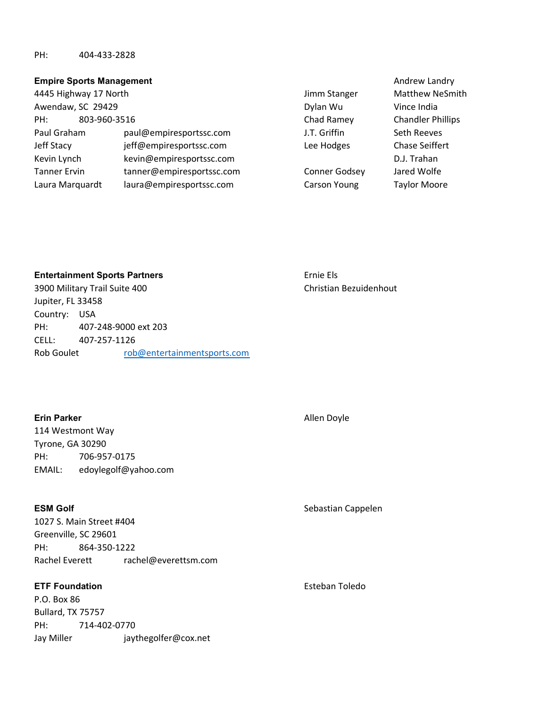# PH: 404-433-2828

### Empire Sports Management **Andrew Landry Construction Construction** Andrew Landry

| 4445 Highway 17 North |                           | Jimm Stanger        | Matthew N         |
|-----------------------|---------------------------|---------------------|-------------------|
| Awendaw, SC 29429     |                           | Dylan Wu            | Vince India       |
| 803-960-3516<br>PH:   |                           | Chad Ramey          | Chandler Pl       |
| Paul Graham           | paul@empiresportssc.com   | J.T. Griffin        | Seth Reeve        |
| Jeff Stacy            | jeff@empiresportssc.com   | Lee Hodges          | Chase Seiff       |
| Kevin Lynch           | kevin@empiresportssc.com  |                     | D.J. Trahan       |
| <b>Tanner Ervin</b>   | tanner@empiresportssc.com | Conner Godsey       | Jared Wolfe       |
| Laura Marquardt       | laura@empiresportssc.com  | <b>Carson Young</b> | <b>Taylor Moo</b> |

J.T. Griffin Seth Reeves Lee Hodges Chase Seiffert Conner Godsey Jared Wolfe

Jimm Stanger Matthew NeSmith Chad Ramey Chandler Phillips Carson Young Taylor Moore

Entertainment Sports Partners Ernie Els

3900 Military Trail Suite 400 Christian Bezuidenhout Jupiter, FL 33458 Country: USA PH: 407-248-9000 ext 203 CELL: 407-257-1126 Rob Goulet rob@entertainmentsports.com

# Erin Parker Allen Doyle

114 Westmont Way Tyrone, GA 30290 PH: 706-957-0175 EMAIL: edoylegolf@yahoo.com

1027 S. Main Street #404 Greenville, SC 29601 PH: 864-350-1222 Rachel Everett rachel@everettsm.com

# **ETF Foundation** Esteban Toledo

P.O. Box 86 Bullard, TX 75757 PH: 714-402-0770 Jay Miller jaythegolfer@cox.net

# ESM Golf Sebastian Cappelen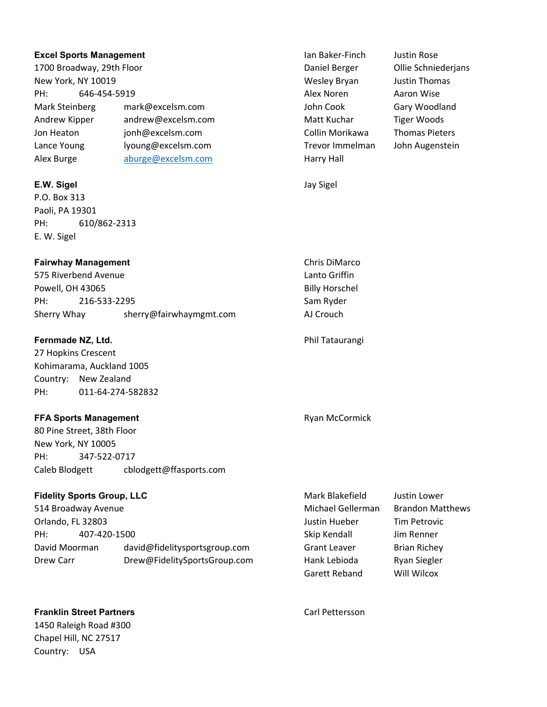### **Excel Sports Management Ian Baker-Finch** Justin Rose

1700 Broadway, 29th Floor Daniel Berger Ollie Schniederjans New York, NY 10019 Wesley Bryan Justin Thomas PH: 646-454-5919 **Alex Noren Aaron Wise** Aaron Wise Mark Steinberg mark@excelsm.com and John Cook Gary Woodland Andrew Kipper andrew@excelsm.com Matt Kuchar Tiger Woods Jon Heaton jonh@excelsm.com Collin Morikawa Thomas Pieters Lance Young lyoung@excelsm.com Trevor Immelman John Augenstein Alex Burge **aburge@excelsm.com** Harry Hall

# E.W. Sigel Jay Sigel

P.O. Box 313 Paoli, PA 19301 PH: 610/862-2313 E. W. Sigel

# Fairwhay Management **Chris DiMarco** Chris DiMarco

575 Riverbend Avenue Lanto Griffin Powell, OH 43065 Billy Horschel PH: 216-533-2295 Sam Ryder Sherry Whay sherry@fairwhaymgmt.com AJ Crouch

# **Fernmade NZ, Ltd.** Phil Tataurangi

27 Hopkins Crescent Kohimarama, Auckland 1005 Country: New Zealand PH: 011-64-274-582832

# **FFA Sports Management Ryan McCormick** Ryan McCormick

80 Pine Street, 38th Floor New York, NY 10005 PH: 347-522-0717 Caleb Blodgett cblodgett@ffasports.com

# Fidelity Sports Group, LLC **Mark Blakefield** Justin Lower

514 Broadway Avenue **Michael Gellerman** Brandon Matthews Orlando, FL 32803 Justin Hueber Tim Petrovic PH: 407-420-1500 Skip Kendall Jim Renner David Moorman david@fidelitysportsgroup.com Grant Leaver Brian Richey Drew Carr **Drew@FidelitySportsGroup.com** Hank Lebioda Ryan Siegler

**Franklin Street Partners** Carl Pettersson 1450 Raleigh Road #300 Chapel Hill, NC 27517 Country: USA

Garett Reband Will Wilcox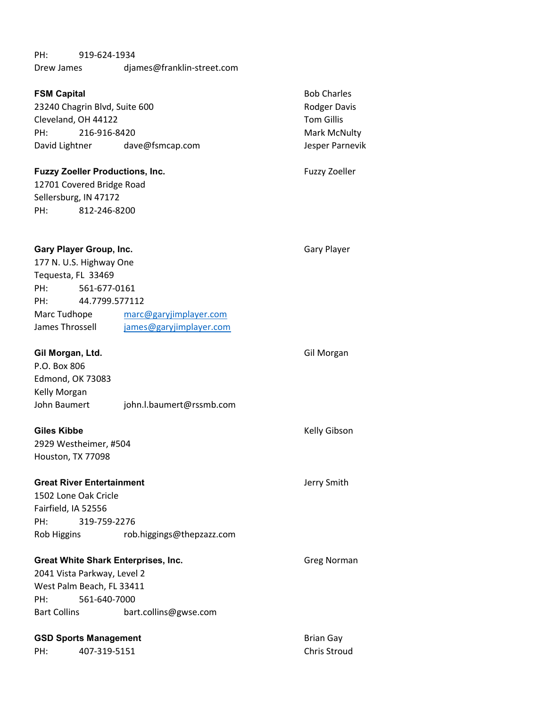# PH: 919-624-1934 Drew James djames@franklin-street.com

| <b>FSM Capital</b><br>23240 Chagrin Blvd, Suite 600<br>Cleveland, OH 44122<br>PH:<br>216-916-8420<br>David Lightner | dave@fsmcap.com          | <b>Bob Charles</b><br>Rodger Davis<br><b>Tom Gillis</b><br>Mark McNulty<br>Jesper Parnevik |
|---------------------------------------------------------------------------------------------------------------------|--------------------------|--------------------------------------------------------------------------------------------|
| <b>Fuzzy Zoeller Productions, Inc.</b>                                                                              |                          | <b>Fuzzy Zoeller</b>                                                                       |
| 12701 Covered Bridge Road                                                                                           |                          |                                                                                            |
| Sellersburg, IN 47172                                                                                               |                          |                                                                                            |
| 812-246-8200<br>PH:                                                                                                 |                          |                                                                                            |
|                                                                                                                     |                          |                                                                                            |
| <b>Gary Player Group, Inc.</b>                                                                                      |                          | <b>Gary Player</b>                                                                         |
| 177 N. U.S. Highway One                                                                                             |                          |                                                                                            |
| Tequesta, FL 33469                                                                                                  |                          |                                                                                            |
| 561-677-0161<br>PH:                                                                                                 |                          |                                                                                            |
| 44.7799.577112<br>PH:                                                                                               |                          |                                                                                            |
| Marc Tudhope                                                                                                        | marc@garyjimplayer.com   |                                                                                            |
| James Throssell                                                                                                     | james@garyjimplayer.com  |                                                                                            |
|                                                                                                                     |                          |                                                                                            |
| Gil Morgan, Ltd.                                                                                                    |                          | Gil Morgan                                                                                 |
| P.O. Box 806                                                                                                        |                          |                                                                                            |
| <b>Edmond, OK 73083</b>                                                                                             |                          |                                                                                            |
| Kelly Morgan                                                                                                        |                          |                                                                                            |
| John Baumert                                                                                                        | john.l.baumert@rssmb.com |                                                                                            |
| <b>Giles Kibbe</b>                                                                                                  |                          | Kelly Gibson                                                                               |
| 2929 Westheimer, #504                                                                                               |                          |                                                                                            |
| Houston, TX 77098                                                                                                   |                          |                                                                                            |

Great River Entertainment Great River Entertainment 1502 Lone Oak Cricle

Fairfield, IA 52556 PH: 319-759-2276 Rob Higgins rob.higgings@thepzazz.com

# Great White Shark Enterprises, Inc. The Contract Great White Shark Enterprises, Inc. 2041 Vista Parkway, Level 2 West Palm Beach, FL 33411 PH: 561-640-7000 Bart Collins bart.collins@gwse.com

# GSD Sports Management and Brian Gay

PH: 407-319-5151 Chris Stroud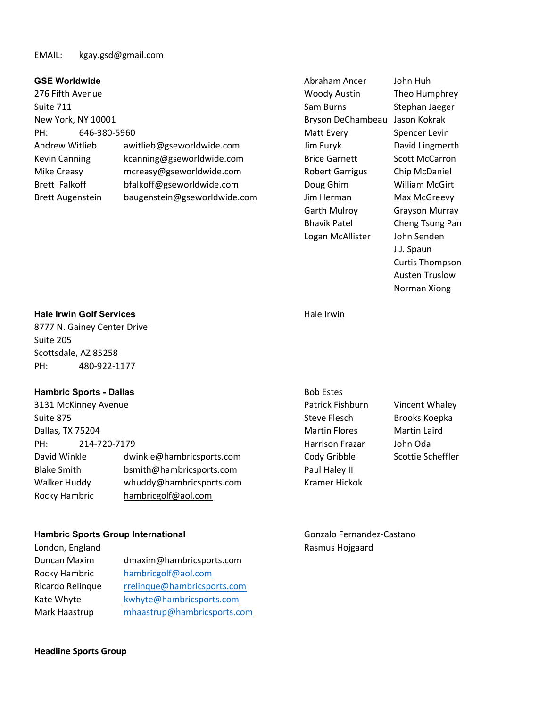## EMAIL: kgay.gsd@gmail.com

276 Fifth Avenue Woody Austin Theo Humphrey Suite 711 Sam Burns Stephan Jaeger Stephan Jaeger Stephan Jaeger Stephan Jaeger Stephan Jaeger New York, NY 10001 Bryson DeChambeau Jason Kokrak PH: 646-380-5960 **Matt Every Spencer Levin** Below Matt Every Spencer Levin Andrew Witlieb awitlieb@gseworldwide.com Jim Furyk David Lingmerth Kevin Canning and Kcanning@gseworldwide.com Brice Garnett Scott McCarron Mike Creasy mcreasy@gseworldwide.com Robert Garrigus Chip McDaniel Brett Falkoff bfalkoff@gseworldwide.com Doug Ghim William McGirt Brett Augenstein baugenstein@gseworldwide.com Jim Herman Max McGreevy

GSE Worldwide **Abraham Ancer** John Huh Garth Mulroy Grayson Murray Bhavik Patel Cheng Tsung Pan Logan McAllister John Senden

J.J. Spaun Curtis Thompson Austen Truslow Norman Xiong

# Hale Irwin Golf Services **Hale Irwin** Hale Irwin

8777 N. Gainey Center Drive Suite 205 Scottsdale, AZ 85258 PH: 480-922-1177

### Hambric Sports - Dallas Bob Estes Bob Estes Bob Estes Bob Estes Bob Estes Bob Estes Bob Estes Bob Estes Bob Estes Bob Estes Bob Estes Bob Estes Bob Estes Bob Estes Bob Estes Bob Estes Bob Estes Bob Estes Bob Estes Bob Este

| 3131 McKinney Avenue |                           | Patrick Fishburn       | Vincent Whaley      |
|----------------------|---------------------------|------------------------|---------------------|
| Suite 875            |                           | <b>Steve Flesch</b>    | Brooks Koepka       |
| Dallas, TX 75204     |                           | <b>Martin Flores</b>   | <b>Martin Laird</b> |
| 214-720-7179<br>PH:  |                           | <b>Harrison Frazar</b> | John Oda            |
| David Winkle         | dwinkle@hambricsports.com | Cody Gribble           | Scottie Scheffler   |
| <b>Blake Smith</b>   | bsmith@hambricsports.com  | Paul Haley II          |                     |
| Walker Huddy         | whuddy@hambricsports.com  | Kramer Hickok          |                     |
| Rocky Hambric        | hambricgolf@aol.com       |                        |                     |

### Hambric Sports Group International and Gonzalo Fernandez-Castano

| London, England  |                             |
|------------------|-----------------------------|
| Duncan Maxim     | dmaxim@hambricsports.com    |
| Rocky Hambric    | hambricgolf@aol.com         |
| Ricardo Relinque | rrelinque@hambricsports.com |
| Kate Whyte       | kwhyte@hambricsports.com    |
| Mark Haastrup    | mhaastrup@hambricsports.com |

| 3ob Estes        |                      |
|------------------|----------------------|
| Patrick Fishburn | Vincent Wha          |
| Steve Flesch     | <b>Brooks Koep</b>   |
| Martin Flores    | Martin Laird         |
| Iarrison Frazar  | John Oda             |
| Cody Gribble     | <b>Scottie Schef</b> |
| aul Haley II     |                      |
| Kramer Hickok    |                      |

Rasmus Hojgaard

### Headline Sports Group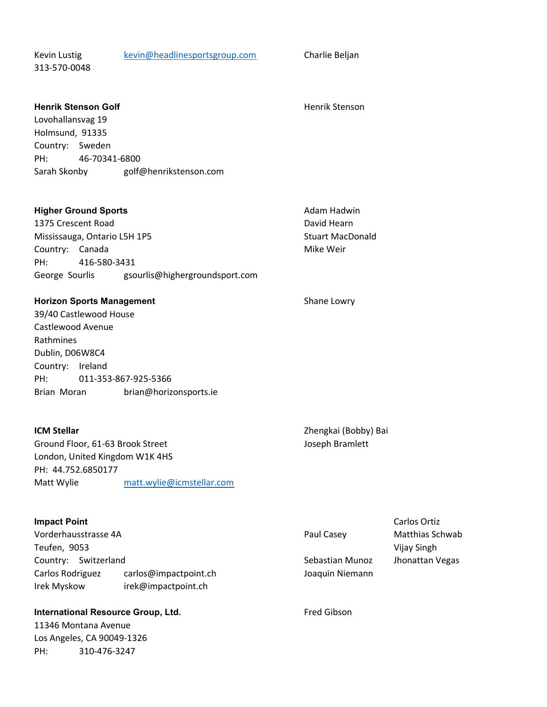Kevin Lustig kevin@headlinesportsgroup.com Charlie Beljan

313-570-0048

**Henrik Stenson Golf Henrich Stenson Golf Henrich Stenson** 

Lovohallansvag 19 Holmsund, 91335 Country: Sweden PH: 46-70341-6800 Sarah Skonby golf@henrikstenson.com

# Higher Ground Sports **Adam Hadwin** Adam Hadwin

1375 Crescent Road **David Hearn** David Hearn New York 1575 Crescent Road David Hearn Mississauga, Ontario L5H 1P5 Stuart MacDonald Country: Canada Mike Weir PH: 416-580-3431 George Sourlis gsourlis@highergroundsport.com

### Horizon Sports Management Shane Lowry

39/40 Castlewood House Castlewood Avenue Rathmines Dublin, D06W8C4 Country: Ireland PH: 011-353-867-925-5366 Brian Moran brian@horizonsports.ie

Ground Floor, 61-63 Brook Street Joseph Bramlett London, United Kingdom W1K 4HS PH: 44.752.6850177 Matt Wylie matt.wylie@icmstellar.com

# **Impact Point** Carlos Ortiz **Carlos Ortiz Carlos Ortiz Carlos Ortiz Carlos Ortiz Carlos Ortiz Carlos Ortiz Carlos Ortiz Carlos Ortiz Carlos Ortiz Carlos Ortiz Carlos Ortiz Carlos Ortiz Carlos Ortiz Carlos Ortiz Carlos Orti**

Vorderhausstrasse 4A **Paul Casey** Matthias Schwab Paul Casey Matthias Schwab Teufen, 9053 Vijay Singh Country: Switzerland Sebastian Munoz Jhonattan Vegas Carlos Rodriguez carlos@impactpoint.ch Joaquin Niemann Irek Myskow irek@impactpoint.ch

# International Resource Group, Ltd. The Context of the Context of the Fred Gibson

11346 Montana Avenue Los Angeles, CA 90049-1326 PH: 310-476-3247

**ICM Stellar Contract Contract Contract Contract Contract Contract Contract Contract Contract Contract Contract Contract Contract Contract Contract Contract Contract Contract Contract Contract Contract Contract Contract**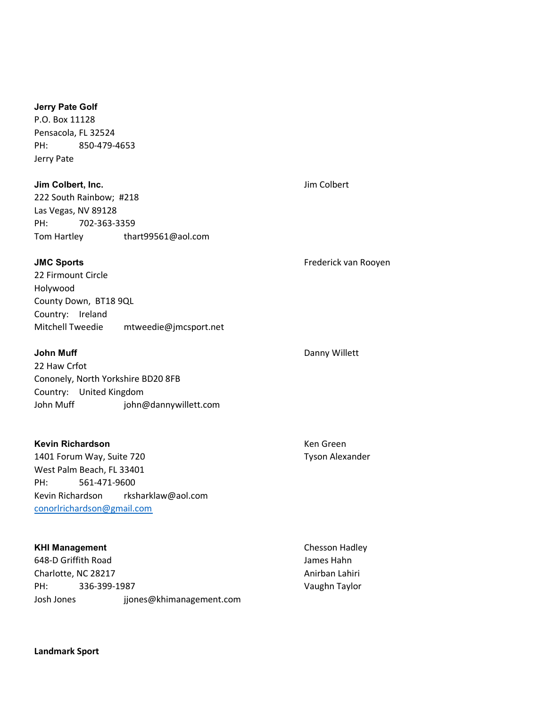### Jerry Pate Golf

P.O. Box 11128 Pensacola, FL 32524 PH: 850-479-4653 Jerry Pate

## **Jim Colbert, Inc.** Jim Colbert, Inc.

222 South Rainbow; #218 Las Vegas, NV 89128 PH: 702-363-3359 Tom Hartley thart99561@aol.com

| 22 Firmount Circle    |                       |  |  |  |
|-----------------------|-----------------------|--|--|--|
| Holywood              |                       |  |  |  |
| County Down, BT18 9QL |                       |  |  |  |
| Country: Ireland      |                       |  |  |  |
| Mitchell Tweedie      | mtweedie@jmcsport.net |  |  |  |

22 Haw Crfot Cononely, North Yorkshire BD20 8FB Country: United Kingdom John Muff john@dannywillett.com

# Kevin Richardson **Key Account Account Account Account Account Account Account Account Account Account Account Account Account Account Account Account Account Account Account Account Account Account Account Account Account**

1401 Forum Way, Suite 720 Tyson Alexander West Palm Beach, FL 33401 PH: 561-471-9600 Kevin Richardson rksharklaw@aol.com conorlrichardson@gmail.com

# KHI Management **Chesson Hadley**

648-D Griffith Road James Hahn Charlotte, NC 28217 Anirban Lahiri PH: 336-399-1987 Vaughn Taylor Josh Jones jjones@khimanagement.com

JMC Sports Frederick van Rooyen

# John Muff **Danny Willett**

Landmark Sport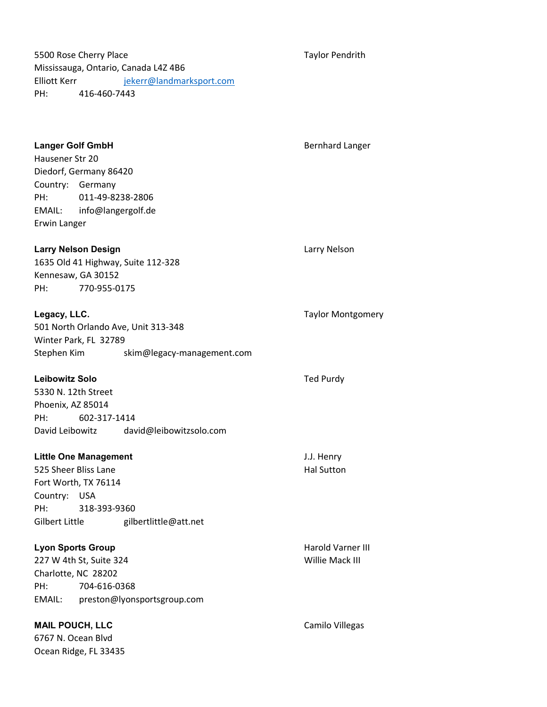5500 Rose Cherry Place Taylor Pendrith Mississauga, Ontario, Canada L4Z 4B6 Elliott Kerr jekerr@landmarksport.com PH: 416-460-7443

Ocean Ridge, FL 33435

**Langer Golf GmbH Bernhard Langer Golf GmbH** Bernhard Langer Hausener Str 20 Diedorf, Germany 86420 Country: Germany PH: 011-49-8238-2806 EMAIL: info@langergolf.de Erwin Langer **Larry Nelson Design Community Community Community Community Community Community Community Community Community** 1635 Old 41 Highway, Suite 112-328 Kennesaw, GA 30152 PH: 770-955-0175 **Legacy, LLC.** Taylor Montgomery **Contract Contract Contract Contract Contract Contract Contract Contract Contract Contract Contract Contract Contract Contract Contract Contract Contract Contract Contract Contract Contract** 501 North Orlando Ave, Unit 313-348 Winter Park, FL 32789 Stephen Kim skim@legacy-management.com Leibowitz Solo **Ted Purdy** Ted Purdy 5330 N. 12th Street Phoenix, AZ 85014 PH: 602-317-1414 David Leibowitz david@leibowitzsolo.com Little One Management J.J. Henry 525 Sheer Bliss Lane Hal Sutton Hal Sutton Hal Sutton Hal Sutton Hal Sutton Hal Sutton Hal Sutton Hal Sutton Hall Sutton Hall Sutton Hall Sutton Hall Sutton Hall Sutton Hall Sutton Hall Sutton Hall Sutton Hall Sutton Hall Fort Worth, TX 76114 Country: USA PH: 318-393-9360 Gilbert Little gilbertlittle@att.net Lyon Sports Group **Harold Varner III Harold Varner III** 227 W 4th St, Suite 324 Willie Mack III Charlotte, NC 28202 PH: 704-616-0368 EMAIL: preston@lyonsportsgroup.com MAIL POUCH, LLC CAMILO Camilo Villegas 6767 N. Ocean Blvd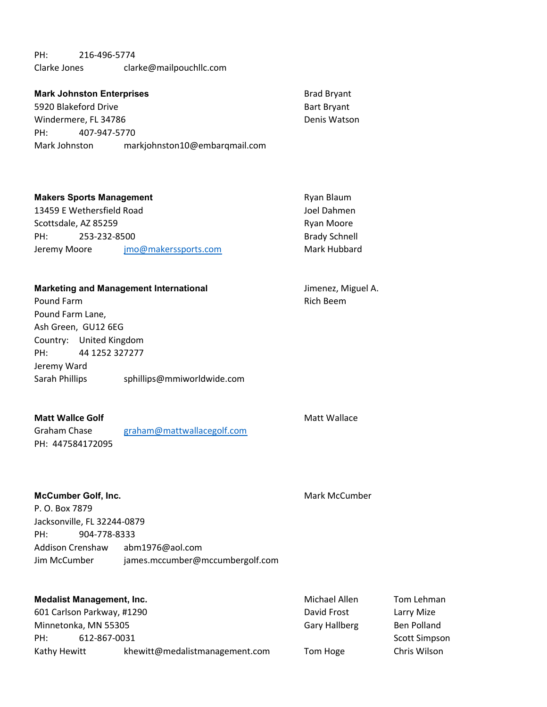PH: 216-496-5774 Clarke Jones clarke@mailpouchllc.com

| <b>Mark Johnston Enterprises</b> |              | <b>Brad Bryant</b>            |                    |
|----------------------------------|--------------|-------------------------------|--------------------|
| 5920 Blakeford Drive             |              |                               | <b>Bart Bryant</b> |
| Windermere, FL 34786             |              |                               | Denis Watson       |
| PH:                              | 407-947-5770 |                               |                    |
| Mark Johnston                    |              | markjohnston10@embargmail.com |                    |

| <b>Makers Sports Management</b>      |             | Ryan Blaum           |
|--------------------------------------|-------------|----------------------|
| 13459 E Wethersfield Road            | Joel Dahmen |                      |
| Scottsdale, AZ 85259                 |             | Ryan Moore           |
| PH:<br>253-232-8500                  |             | <b>Brady Schnell</b> |
| jmo@makerssports.com<br>Jeremy Moore |             | Mark Hubbard         |

# Marketing and Management International Marketing and Management International Jimenez, Miguel A.

Pound Farm **Provides Pound Farm** Rich Beem **Rich Beem Rich Beem Rich Beem** Pound Farm Lane, Ash Green, GU12 6EG Country: United Kingdom PH: 44 1252 327277 Jeremy Ward Sarah Phillips sphillips@mmiworldwide.com

## Matt Wallce Golf Matt Wallace

Graham Chase graham@mattwallacegolf.com PH: 447584172095

# McCumber Golf, Inc. **McCumber Golf, Inc.** Mark McCumber

P. O. Box 7879 Jacksonville, FL 32244-0879 PH: 904-778-8333 Addison Crenshaw abm1976@aol.com Jim McCumber james.mccumber@mccumbergolf.com

|              | <b>Medalist Management, Inc.</b> | Michael Allen        | Tom Lehman    |
|--------------|----------------------------------|----------------------|---------------|
|              | 601 Carlson Parkway, #1290       | David Frost          | Larry Mize    |
|              | Minnetonka, MN 55305             | <b>Gary Hallberg</b> | Ben Polland   |
| PH:          | 612-867-0031                     |                      | Scott Simpson |
| Kathy Hewitt | khewitt@medalistmanagement.com   | Tom Hoge             | Chris Wilson  |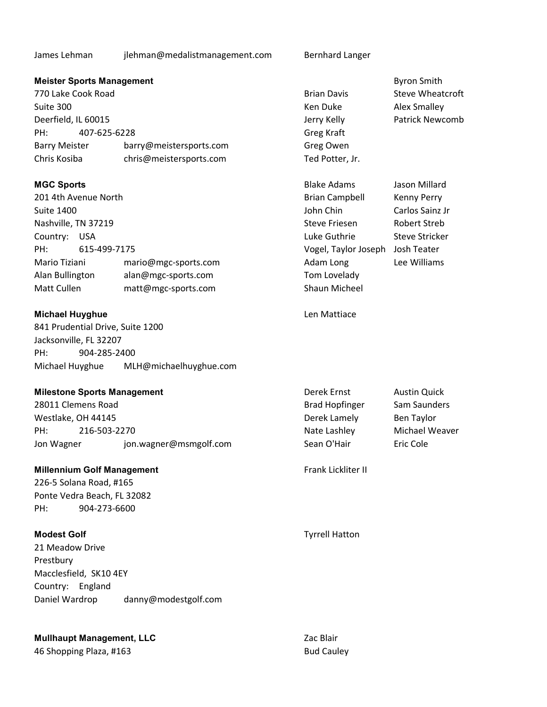James Lehman jlehman@medalistmanagement.com Bernhard Langer

# **Meister Sports Management** Byron Smith Byron Smith

770 Lake Cook Road Brian Davis Steve Wheatcroft Suite 300 Ken Duke Alex Smalley Deerfield, IL 60015 Jerry Kelly Patrick Newcomb PH: 407-625-6228 Barry Meister barry@meistersports.com Chris Kosiba chris@meistersports.com

201 4th Avenue North Brian Campbell Kenny Perry Suite 1400 **Suite 1400 John Chin** Carlos Sainz Jr Nashville, TN 37219 Steve Friesen Robert Streb Country: USA **COUNTY: USA** Luke Guthrie Steve Stricker PH: 615-499-7175 Vogel, Taylor Joseph Josh Teater Mario Tiziani mario@mgc-sports.com and Adam Long Lee Williams Alan Bullington alan@mgc-sports.com Tom Lovelady Matt Cullen matt@mgc-sports.com Shaun Micheel

# Michael Huyghue **Michael Huyghue** Len Mattiace

841 Prudential Drive, Suite 1200 Jacksonville, FL 32207 PH: 904-285-2400 Michael Huyghue MLH@michaelhuyghue.com

# **Milestone Sports Management** Management Derek Ernst Austin Quick

28011 Clemens Road **Brad Hopfinger** Sam Saunders Westlake, OH 44145 **Derek Lamely** Ben Taylor PH: 216-503-2270 2001 - 2002 - 216-503-2270 2012 - 216-503-2270 2012 - 216-503-2270 2012 2013 2014 2014 2014 20 Jon Wagner discussion.wagner@msmgolf.com Sean O'Hair Eric Cole

# Millennium Golf Management Frank Lickliter II

226-5 Solana Road, #165 Ponte Vedra Beach, FL 32082 PH: 904-273-6600

21 Meadow Drive Prestbury Macclesfield, SK10 4EY Country: England Daniel Wardrop danny@modestgolf.com

# **Mullhaupt Management, LLC** Zac Blair

46 Shopping Plaza, #163 Bud Cauley

| Brian Davis     |
|-----------------|
| Ken Duke        |
| Jerry Kelly     |
| Greg Kraft      |
| Greg Owen       |
| Ted Potter, Jr. |

**MGC Sports Contract Adams** Jason Millard **MGC Sports Blake Adams** Jason Millard

Modest Golf Tyrrell Hatton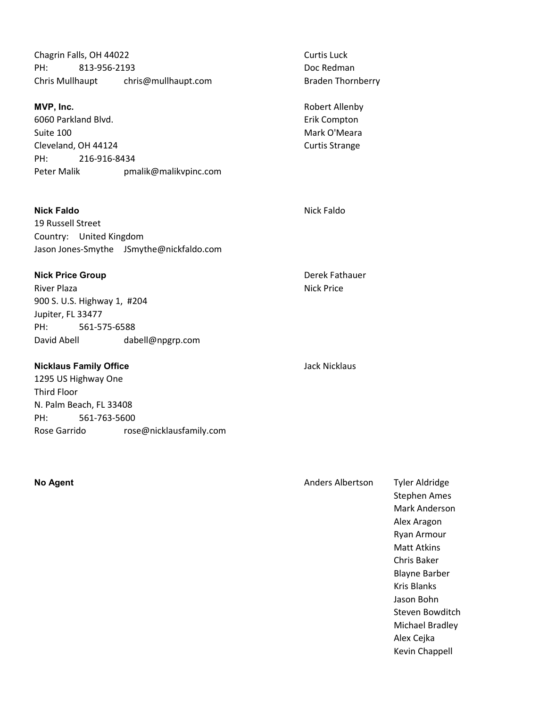| Chagrin Falls, OH 44022<br>PH:         | 813-956-2193          | Curtis Luck<br>Doc Redman      |
|----------------------------------------|-----------------------|--------------------------------|
| chris@mullhaupt.com<br>Chris Mullhaupt |                       | <b>Braden Thornberry</b>       |
| MVP, Inc.<br>6060 Parkland Blvd.       |                       | Robert Allenby<br>Erik Compton |
| Suite 100                              |                       | Mark O'Meara                   |
| Cleveland, OH 44124                    |                       | <b>Curtis Strange</b>          |
| PH:                                    | 216-916-8434          |                                |
| Peter Malik                            | pmalik@malikvpinc.com |                                |

Nick Faldo Nick Faldo 19 Russell Street Country: United Kingdom Jason Jones-Smythe JSmythe@nickfaldo.com

Nick Price Group **Derek Fathauer** Derek Fathauer River Plaza **Nick Price** 900 S. U.S. Highway 1, #204 Jupiter, FL 33477 PH: 561-575-6588 David Abell dabell@npgrp.com

Nicklaus Family Office **Micklaus** Jack Nicklaus 1295 US Highway One Third Floor N. Palm Beach, FL 33408 PH: 561-763-5600 Rose Garrido rose@nicklausfamily.com

No Agent **No Agent** Anders Albertson Tyler Aldridge Stephen Ames Mark Anderson Alex Aragon Ryan Armour Matt Atkins Chris Baker Blayne Barber Kris Blanks Jason Bohn Steven Bowditch Michael Bradley Alex Cejka

Kevin Chappell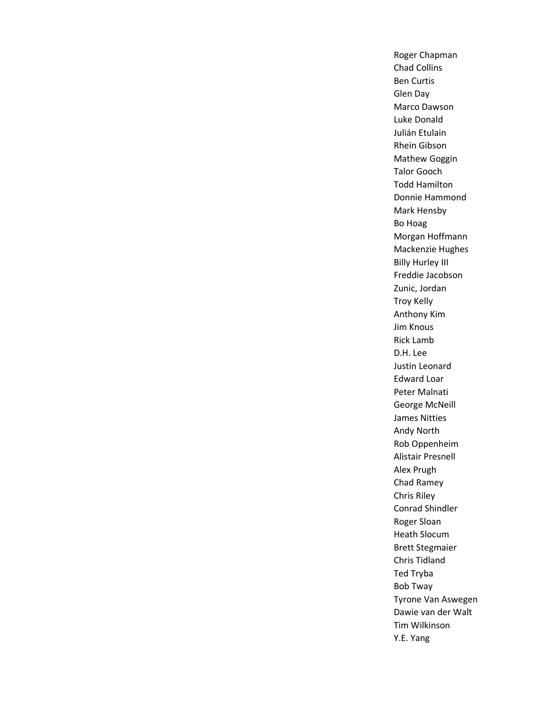Roger Chapman Chad Collins Ben Curtis Glen Day Marco Dawson Luke Donald Julián Etulain Rhein Gibson Mathew Goggin Talor Gooch Todd Hamilton Donnie Hammond Mark Hensby Bo Hoag Morgan Hoffmann Mackenzie Hughes Billy Hurley III Freddie Jacobson Zunic, Jordan Troy Kelly Anthony Kim Jim Knous Rick Lamb D.H. Lee Justin Leonard Edward Loar Peter Malnati George McNeill James Nitties Andy North Rob Oppenheim Alistair Presnell Alex Prugh Chad Ramey Chris Riley Conrad Shindler Roger Sloan Heath Slocum Brett Stegmaier Chris Tidland Ted Tryba Bob Tway Tyrone Van Aswegen Dawie van der Walt Tim Wilkinson Y.E. Yang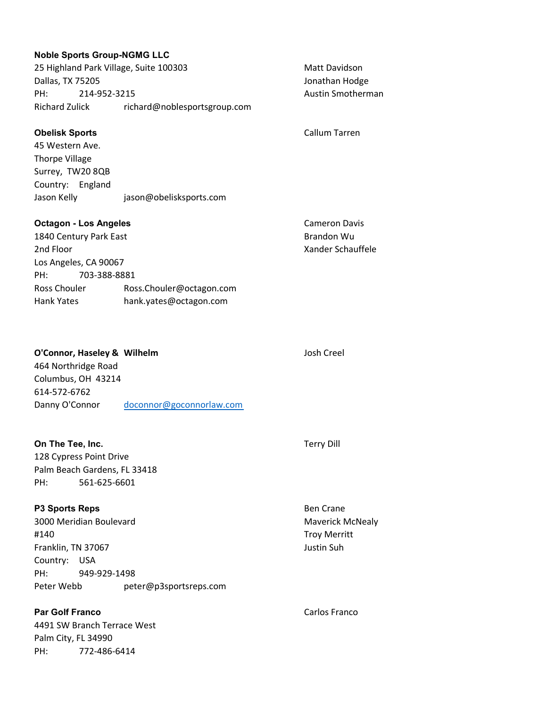| <b>Noble Sports Group-NGMG LLC</b><br>25 Highland Park Village, Suite 100303<br>Dallas, TX 75205<br>PH:<br>214-952-3215<br><b>Richard Zulick</b>                                                        | richard@noblesportsgroup.com | <b>Matt Davidson</b><br>Jonathan Hodge<br><b>Austin Smotherman</b> |
|---------------------------------------------------------------------------------------------------------------------------------------------------------------------------------------------------------|------------------------------|--------------------------------------------------------------------|
| <b>Obelisk Sports</b><br>45 Western Ave.<br><b>Thorpe Village</b><br>Surrey, TW20 8QB<br>Country: England<br>Jason Kelly                                                                                | jason@obelisksports.com      | Callum Tarren                                                      |
| <b>Octagon - Los Angeles</b><br>1840 Century Park East<br>2nd Floor<br>Los Angeles, CA 90067<br>PH:<br>703-388-8881<br>Ross Chouler<br>Ross.Chouler@octagon.com<br>Hank Yates<br>hank.yates@octagon.com |                              | <b>Cameron Davis</b><br>Brandon Wu<br>Xander Schauffele            |

| O'Connor, Haseley & Wilhelm |                          | Josh Creel |
|-----------------------------|--------------------------|------------|
| 464 Northridge Road         |                          |            |
| Columbus, OH 43214          |                          |            |
| 614-572-6762                |                          |            |
| Danny O'Connor              | doconnor@goconnorlaw.com |            |

| On The Tee, Inc. |                              |
|------------------|------------------------------|
|                  | 128 Cypress Point Drive      |
|                  | Palm Beach Gardens, FL 33418 |
| PH:              | 561-625-6601                 |

| <b>P3 Sports Reps</b> |                         |                        |  |  |
|-----------------------|-------------------------|------------------------|--|--|
|                       | 3000 Meridian Boulevard |                        |  |  |
| #140                  |                         |                        |  |  |
| Franklin, TN 37067    |                         |                        |  |  |
| Country: USA          |                         |                        |  |  |
| PH:                   | 949-929-1498            |                        |  |  |
| Peter Webb            |                         | peter@p3sportsreps.com |  |  |
|                       |                         |                        |  |  |

# 4491 SW Branch Terrace West Palm City, FL 34990

PH: 772-486-6414

# Terry Dill

Ben Crane Maverick McNealy Troy Merritt Justin Suh

Par Golf Franco **Carlos Franco** Carlos Franco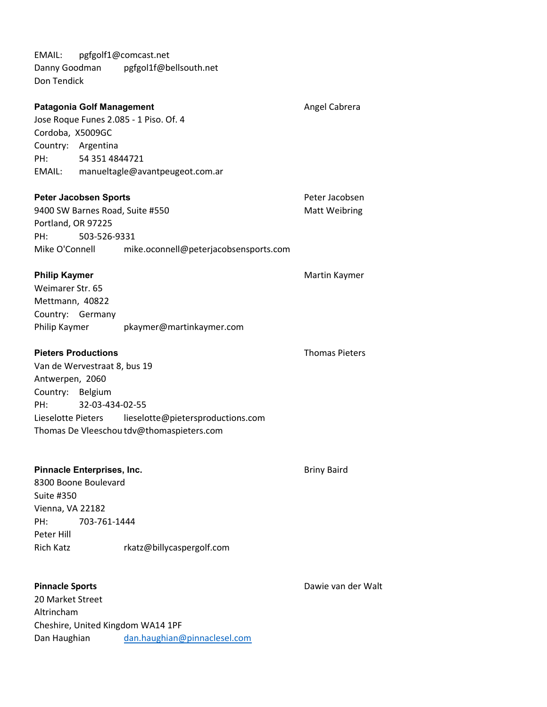EMAIL: pgfgolf1@comcast.net Danny Goodman pgfgol1f@bellsouth.net Don Tendick

| <b>Patagonia Golf Management</b><br>Cordoba, X5009GC<br>Country: Argentina<br>PH:                                      | 54 351 4844721  | Jose Roque Funes 2.085 - 1 Piso. Of. 4<br>EMAIL: manueltagle@avantpeugeot.com.ar                  | Angel Cabrera                   |
|------------------------------------------------------------------------------------------------------------------------|-----------------|---------------------------------------------------------------------------------------------------|---------------------------------|
| <b>Peter Jacobsen Sports</b><br>Portland, OR 97225<br>PH:<br>Mike O'Connell                                            | 503-526-9331    | 9400 SW Barnes Road, Suite #550<br>mike.oconnell@peterjacobsensports.com                          | Peter Jacobsen<br>Matt Weibring |
| <b>Philip Kaymer</b><br>Weimarer Str. 65<br>Mettmann, 40822<br>Country: Germany<br>Philip Kaymer                       |                 | pkaymer@martinkaymer.com                                                                          | Martin Kaymer                   |
| <b>Pieters Productions</b><br>Van de Wervestraat 8, bus 19<br>Antwerpen, 2060<br>Country: Belgium<br>PH:               | 32-03-434-02-55 | Lieselotte Pieters lieselotte@pietersproductions.com<br>Thomas De Vleeschou tdv@thomaspieters.com | <b>Thomas Pieters</b>           |
| Pinnacle Enterprises, Inc.<br>8300 Boone Boulevard<br>Suite #350<br>Vienna, VA 22182<br>PH:<br>Peter Hill<br>Rich Katz | 703-761-1444    | rkatz@billycaspergolf.com                                                                         | <b>Briny Baird</b>              |
| <b>Pinnacle Sports</b><br>20 Market Street<br>Altrincham                                                               |                 | Cheshire, United Kingdom WA14 1PF                                                                 | Dawie van der Walt              |

Dan Haughian dan.haughian@pinnaclesel.com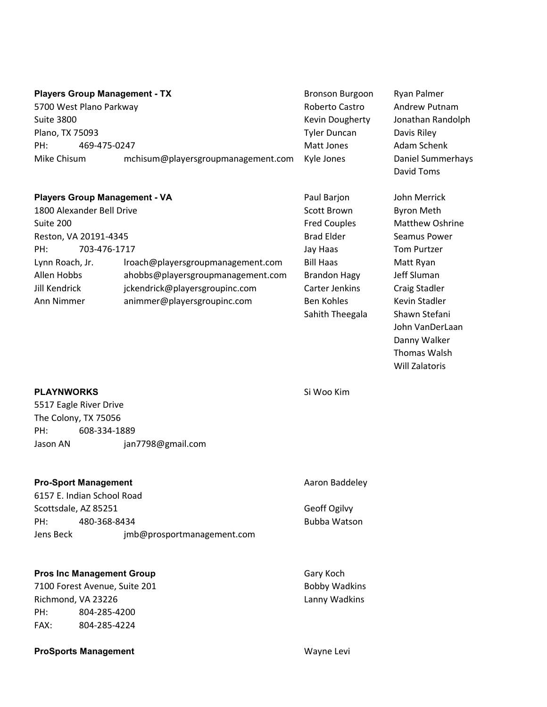|                         | <b>Players Group Management - TX</b> | <b>Bronson Burgoon</b> | Ryan Palmer                            |
|-------------------------|--------------------------------------|------------------------|----------------------------------------|
| 5700 West Plano Parkway |                                      | Roberto Castro         | Andrew Putnam                          |
| <b>Suite 3800</b>       |                                      | Kevin Dougherty        | Jonathan Randolph                      |
| Plano, TX 75093         |                                      | <b>Tyler Duncan</b>    | Davis Riley                            |
| PH:                     | 469-475-0247                         | Matt Jones             | Adam Schenk                            |
| Mike Chisum             | mchisum@playersgroupmanagement.com   | Kyle Jones             | <b>Daniel Summerhays</b><br>David Toms |

| <b>Players Group Management - VA</b> |                                   | Paul Barjon         | John Merrick         |
|--------------------------------------|-----------------------------------|---------------------|----------------------|
| 1800 Alexander Bell Drive            |                                   | Scott Brown         | Byron Meth           |
| Suite 200                            |                                   | <b>Fred Couples</b> | <b>Matthew Osh</b>   |
| Reston, VA 20191-4345                |                                   | <b>Brad Elder</b>   | Seamus Powe          |
| 703-476-1717<br>PH:                  |                                   | Jay Haas            | <b>Tom Purtzer</b>   |
| Lynn Roach, Jr.                      | Iroach@playersgroupmanagement.com | <b>Bill Haas</b>    | Matt Ryan            |
| Allen Hobbs                          | ahobbs@playersgroupmanagement.com | <b>Brandon Hagy</b> | Jeff Sluman          |
| Jill Kendrick                        | jckendrick@playersgroupinc.com    | Carter Jenkins      | <b>Craig Stadler</b> |
| Ann Nimmer                           | animmer@playersgroupinc.com       | <b>Ben Kohles</b>   | Kevin Stadler        |

n Byron Meth es Matthew Oshrine Seamus Power Tom Purtzer Matt Ryan agy Jeff Sluman dins Craig Stadler Kevin Stadler Sahith Theegala Shawn Stefani John VanDerLaan Danny Walker Thomas Walsh Will Zalatoris

# PLAYNWORKS Si Woo Kim

5517 Eagle River Drive The Colony, TX 75056 PH: 608-334-1889 Jason AN jan7798@gmail.com

| <b>Pro-Sport Management</b> | Aaron Baddeley             |                     |
|-----------------------------|----------------------------|---------------------|
|                             | 6157 E. Indian School Road |                     |
| Scottsdale, AZ 85251        |                            | Geoff Ogilvy        |
| PH:                         | 480-368-8434               | <b>Bubba Watson</b> |
| Jens Beck                   | imb@prosportmanagement.com |                     |

## Pros Inc Management Group Gary Koch

7100 Forest Avenue, Suite 201 and Solid Bobby Wadkins Richmond, VA 23226 Lanny Wadkins PH: 804-285-4200 FAX: 804-285-4224

# ProSports Management Wayne Levi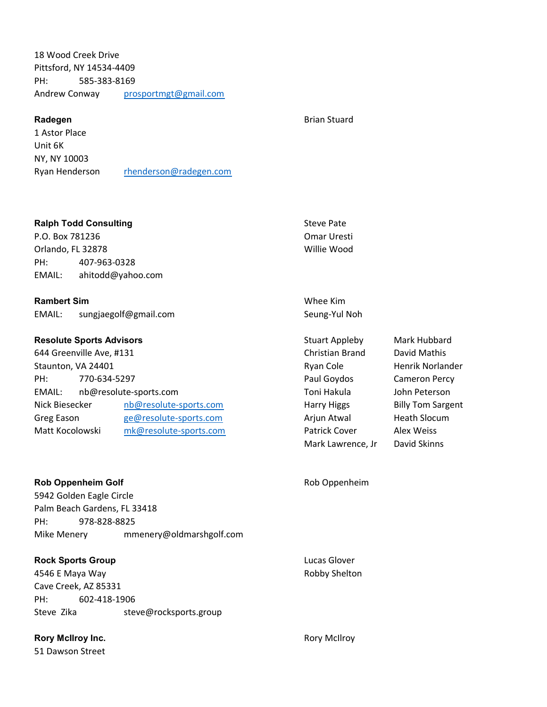18 Wood Creek Drive Pittsford, NY 14534-4409 PH: 585-383-8169 Andrew Conway prosportmgt@gmail.com

### Radegen **Brian Stuard** Brian Stuard **Brian Stuard**

1 Astor Place Unit 6K NY, NY 10003 Ryan Henderson rhenderson@radegen.com

### Ralph Todd Consulting Steve Pate Steve Pate Steve Pate

P.O. Box 781236 Omar Uresti Orlando, FL 32878 Willie Wood PH: 407-963-0328 EMAIL: ahitodd@yahoo.com

## Rambert Sim Whee Kim

EMAIL: sungjaegolf@gmail.com Seung-Yul Noh

# Resolute Sports Advisors and Stuart Appleby Mark Hubbard Mark Hubbard

644 Greenville Ave, #131 Christian Brand David Mathis Staunton, VA 24401 **Research Cole Research Cole Ryan Cole Henrik Norlander Ryan Cole Henrik Norlander** PH: 770-634-5297 Paul Goydos Cameron Percy EMAIL: nb@resolute-sports.com **Toni Hakula** John Peterson Nick Biesecker and only a mode resolute-sports.com and Harry Higgs Harry Higgs Billy Tom Sargent Greg Eason execute-sports.com Arjun Atwal Heath Slocum Matt Kocolowski mk@resolute-sports.com Patrick Cover Alex Weiss

Rob Oppenheim Golf **Rob Oppenheim** Golf **Rob Oppenheim** 

5942 Golden Eagle Circle Palm Beach Gardens, FL 33418 PH: 978-828-8825 Mike Menery mmenery@oldmarshgolf.com

# **Rock Sports Group Lucas Glover Contract Contract Contract Contract Contract Contract Contract Contract Contract Contract Contract Contract Contract Contract Contract Contract Contract Contract Contract Contract Contract C**

4546 E Maya Way **Robby Shelton** Robby Shelton Cave Creek, AZ 85331 PH: 602-418-1906 Steve Zika steve@rocksports.group

# Rory McIlroy Inc. **Rory McIlroy** Inc.

51 Dawson Street

Mark Lawrence, Jr David Skinns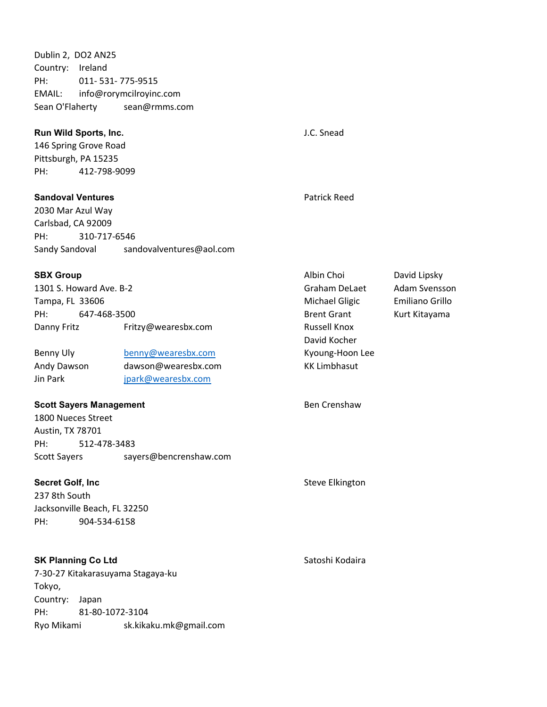Dublin 2, DO2 AN25 Country: Ireland PH: 011- 531- 775-9515 EMAIL: info@rorymcilroyinc.com Sean O'Flaherty sean@rmms.com

# **Run Wild Sports, Inc. Example 20 and Sports, Inc. J.C. Snead**

146 Spring Grove Road Pittsburgh, PA 15235 PH: 412-798-9099

**Sandoval Ventures And According to According Contract Contract According Contract Patrick Reed** 

2030 Mar Azul Way Carlsbad, CA 92009 PH: 310-717-6546 Sandy Sandoval sandovalventures@aol.com

1301 S. Howard Ave. B-2 Graham DeLaet Adam Svensson Tampa, FL 33606 **Michael Gligic** Emiliano Grillo PH: 647-468-3500 **Brent Grant** Brent Grant Kurt Kitayama Danny Fritz Fritzy@wearesbx.com Russell Knox

Benny Uly benny@wearesbx.com Kyoung-Hoon Lee Andy Dawson dawson@wearesbx.com KK Limbhasut Jin Park ipark@wearesbx.com

# Scott Sayers Management Ben Crenshaw

1800 Nueces Street Austin, TX 78701 PH: 512-478-3483 Scott Sayers sayers@bencrenshaw.com

# Secret Golf, Inc Steve Elkington Steve Elkington

237 8th South Jacksonville Beach, FL 32250 PH: 904-534-6158

# **SK Planning Co Ltd** Satoshi Kodaira

7-30-27 Kitakarasuyama Stagaya-ku Tokyo, Country: Japan PH: 81-80-1072-3104 Ryo Mikami sk.kikaku.mk@gmail.com

SBX Group **Albin Choi** David Lipsky David Kocher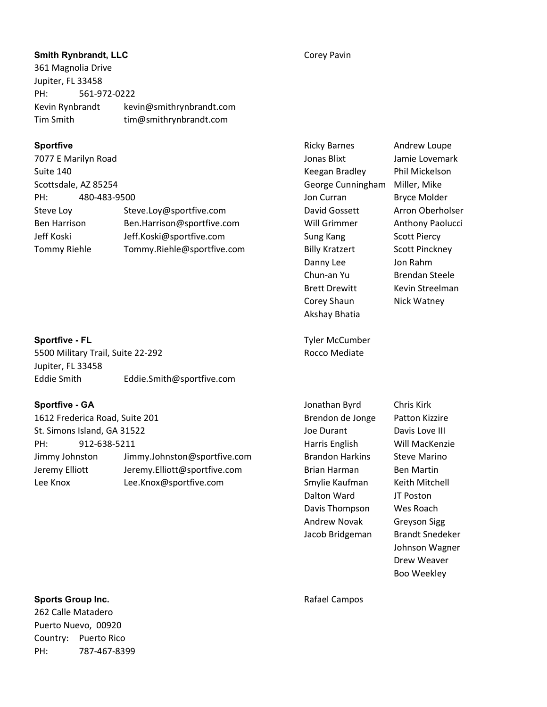# **Smith Rynbrandt, LLC** Corey Pavin

361 Magnolia Drive Jupiter, FL 33458 PH: 561-972-0222 Kevin Rynbrandt kevin@smithrynbrandt.com Tim Smith tim@smithrynbrandt.com

7077 E Marilyn Road Jonas Blixt Jamie Lovemark Suite 140 **Keegan Bradley Phil Mickelson Keegan Bradley** Phil Mickelson Scottsdale, AZ 85254 George Cunningham Miller, Mike PH: 480-483-9500 **Democratization and Architects** Jon Curran Bryce Molder Steve Loy Steve.Loy@sportfive.com David Gossett Arron Oberholser Ben Harrison Ben.Harrison@sportfive.com Will Grimmer Anthony Paolucci Jeff Koski Jeff.Koski@sportfive.com Sung Kang Scott Piercy Tommy Riehle Tommy.Riehle@sportfive.com Billy Kratzert Scott Pinckney

5500 Military Trail, Suite 22-292 **Rocco Mediate** Rocco Mediate Jupiter, FL 33458 Eddie Smith Eddie.Smith@sportfive.com

1612 Frederica Road, Suite 201 Brendon de Jonge Patton Kizzire St. Simons Island, GA 31522 St. Simons Island, GA 31522 PH: 912-638-5211 Harris English Will MacKenzie Jimmy Johnston Jimmy.Johnston@sportfive.com Brandon Harkins Steve Marino Jeremy Elliott Jeremy.Elliott@sportfive.com Brian Harman Ben Martin Lee Knox Lee.Knox@sportfive.com Smylie Kaufman Keith Mitchell

Sportfive **Subsettle Andrew Loupe Andrew Loupe Controller Andrew Loupe Andrew Loupe Andrew Loupe Andrew Loupe** Danny Lee Jon Rahm Chun-an Yu Brendan Steele Brett Drewitt Kevin Streelman Corey Shaun Nick Watney Akshay Bhatia

Sportfive - FL Tyler McCumber and Tyler McCumber

Sportfive - GA **Sportfive - GA** Jonathan Byrd Chris Kirk Dalton Ward JT Poston Davis Thompson Wes Roach Andrew Novak Greyson Sigg Jacob Bridgeman Brandt Snedeker

Johnson Wagner Drew Weaver

Boo Weekley

# Sports Group Inc. **Sports Group Inc.** And The Campos Rafael Campos

262 Calle Matadero Puerto Nuevo, 00920 Country: Puerto Rico PH: 787-467-8399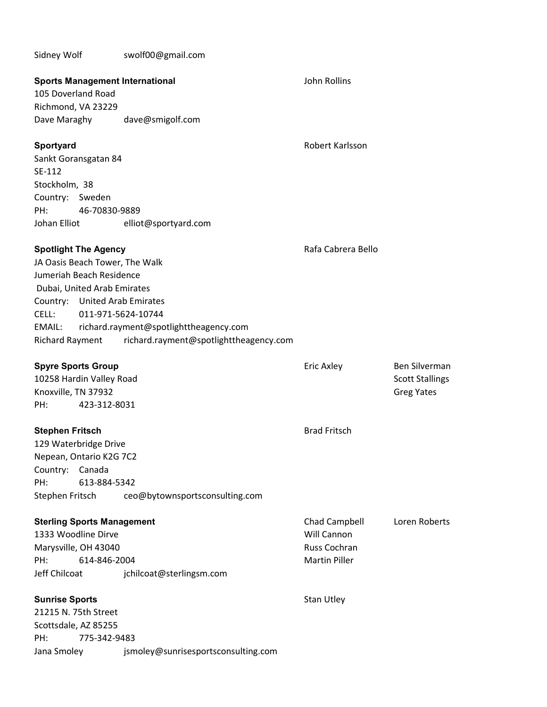# Sidney Wolf swolf00@gmail.com

| <b>Sports Management International</b><br>105 Doverland Road<br>Richmond, VA 23229                                                                                                                     |                                                                                                        | John Rollins                                                         |                                                              |
|--------------------------------------------------------------------------------------------------------------------------------------------------------------------------------------------------------|--------------------------------------------------------------------------------------------------------|----------------------------------------------------------------------|--------------------------------------------------------------|
| Dave Maraghy                                                                                                                                                                                           | dave@smigolf.com                                                                                       |                                                                      |                                                              |
| Sportyard<br>Sankt Goransgatan 84<br>SE-112<br>Stockholm, 38<br>Country: Sweden<br>PH:<br>46-70830-9889<br>Johan Elliot                                                                                | elliot@sportyard.com                                                                                   | Robert Karlsson                                                      |                                                              |
| <b>Spotlight The Agency</b><br>JA Oasis Beach Tower, The Walk<br>Jumeriah Beach Residence<br>Dubai, United Arab Emirates<br>Country: United Arab Emirates<br>CELL:<br>EMAIL:<br><b>Richard Rayment</b> | 011-971-5624-10744<br>richard.rayment@spotlighttheagency.com<br>richard.rayment@spotlighttheagency.com | Rafa Cabrera Bello                                                   |                                                              |
| <b>Spyre Sports Group</b><br>10258 Hardin Valley Road<br>Knoxville, TN 37932<br>PH:<br>423-312-8031                                                                                                    |                                                                                                        | Eric Axley                                                           | Ben Silverman<br><b>Scott Stallings</b><br><b>Greg Yates</b> |
| <b>Stephen Fritsch</b><br>129 Waterbridge Drive<br>Nepean, Ontario K2G 7C2<br>Country: Canada<br>613-884-5342<br>PH:<br>Stephen Fritsch                                                                | ceo@bytownsportsconsulting.com                                                                         | <b>Brad Fritsch</b>                                                  |                                                              |
| <b>Sterling Sports Management</b><br>1333 Woodline Dirve<br>Marysville, OH 43040<br>PH:<br>614-846-2004<br>Jeff Chilcoat                                                                               | jchilcoat@sterlingsm.com                                                                               | Chad Campbell<br>Will Cannon<br>Russ Cochran<br><b>Martin Piller</b> | Loren Roberts                                                |
| <b>Sunrise Sports</b><br>21215 N. 75th Street<br>Scottsdale, AZ 85255<br>PH:<br>775-342-9483<br>Jana Smoley                                                                                            | jsmoley@sunrisesportsconsulting.com                                                                    | <b>Stan Utley</b>                                                    |                                                              |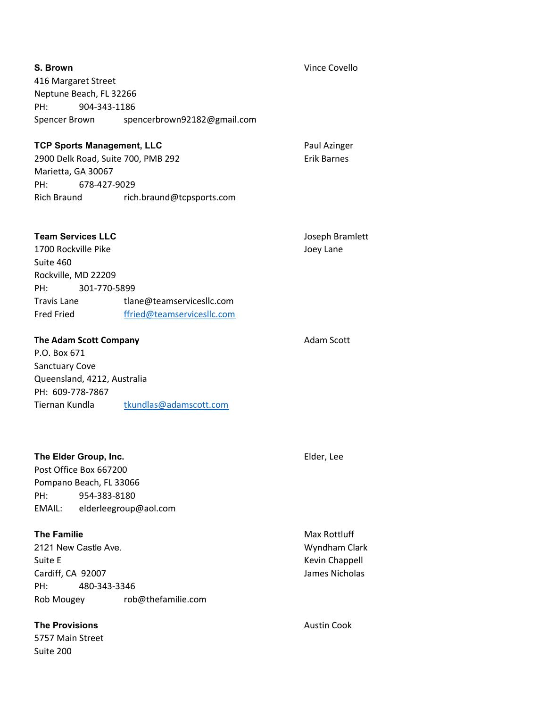| S. Brown                           |                                       | <b>Vince Covello</b> |
|------------------------------------|---------------------------------------|----------------------|
| 416 Margaret Street                |                                       |                      |
| Neptune Beach, FL 32266            |                                       |                      |
| 904-343-1186<br>PH:                |                                       |                      |
| Spencer Brown                      | spencerbrown92182@gmail.com           |                      |
|                                    |                                       |                      |
| <b>TCP Sports Management, LLC</b>  |                                       | Paul Azinger         |
| 2900 Delk Road, Suite 700, PMB 292 |                                       | <b>Erik Barnes</b>   |
| Marietta, GA 30067                 |                                       |                      |
| PH:<br>678-427-9029                |                                       |                      |
|                                    | Rich Braund rich.braund@tcpsports.com |                      |
|                                    |                                       |                      |
|                                    |                                       |                      |
| <b>Team Services LLC</b>           |                                       | Joseph Bramlett      |
| 1700 Rockville Pike                |                                       | Joey Lane            |
| Suite 460                          |                                       |                      |
| Rockville, MD 22209                |                                       |                      |
| 301-770-5899<br>PH:                |                                       |                      |
| Travis Lane                        | tlane@teamservicesllc.com             |                      |
| <b>Fred Fried</b>                  | ffried@teamservicesllc.com            |                      |
|                                    |                                       |                      |
| The Adam Scott Company             |                                       | <b>Adam Scott</b>    |
| P.O. Box 671                       |                                       |                      |
| <b>Sanctuary Cove</b>              |                                       |                      |
| Queensland, 4212, Australia        |                                       |                      |
| PH: 609-778-7867                   |                                       |                      |
| Tiernan Kundla                     | tkundlas@adamscott.com                |                      |
|                                    |                                       |                      |
|                                    |                                       |                      |
|                                    |                                       |                      |
| The Elder Group, Inc.              |                                       | Elder, Lee           |
| Post Office Box 667200             |                                       |                      |
| Pompano Beach, FL 33066            |                                       |                      |
| 954-383-8180<br>PH:                |                                       |                      |
| EMAIL:                             | elderleegroup@aol.com                 |                      |
|                                    |                                       |                      |
| <b>The Familie</b>                 |                                       | Max Rottluff         |
| 2121 New Castle Ave.               |                                       | Wyndham Clark        |
| Suite E                            |                                       | Kevin Chappell       |
| Cardiff, CA 92007                  |                                       | James Nicholas       |
| PH:<br>480-343-3346                |                                       |                      |
| Rob Mougey                         | rob@thefamilie.com                    |                      |
|                                    |                                       |                      |
| <b>The Provisions</b>              |                                       | <b>Austin Cook</b>   |
| 5757 Main Street                   |                                       |                      |

Suite 200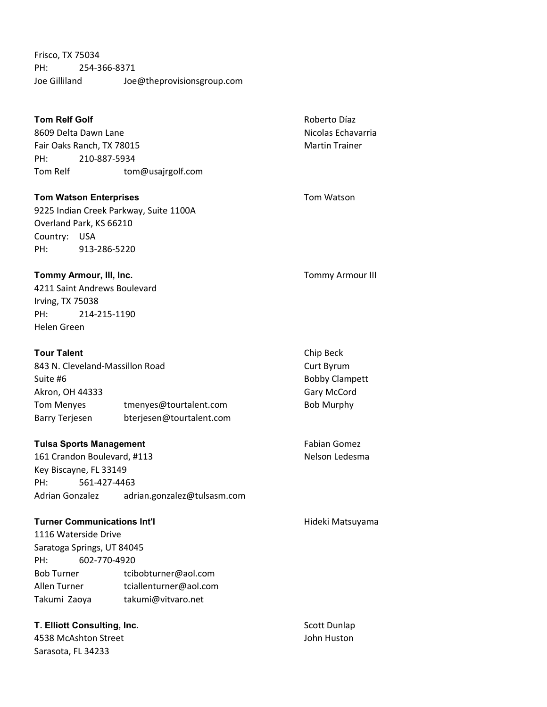Frisco, TX 75034 PH: 254-366-8371 Joe Gilliland Joe@theprovisionsgroup.com

| <b>Tom Relf Golf</b>               |              | Roberto Díaz                           |                         |
|------------------------------------|--------------|----------------------------------------|-------------------------|
| 8609 Delta Dawn Lane               |              |                                        | Nicolas Echavarria      |
| Fair Oaks Ranch, TX 78015          |              |                                        | <b>Martin Trainer</b>   |
| PH:                                | 210-887-5934 |                                        |                         |
| Tom Relf                           |              | tom@usajrgolf.com                      |                         |
| <b>Tom Watson Enterprises</b>      |              |                                        | Tom Watson              |
|                                    |              | 9225 Indian Creek Parkway, Suite 1100A |                         |
| Overland Park, KS 66210            |              |                                        |                         |
| Country: USA                       |              |                                        |                         |
| PH:                                | 913-286-5220 |                                        |                         |
| Tommy Armour, III, Inc.            |              |                                        | <b>Tommy Armour III</b> |
| 4211 Saint Andrews Boulevard       |              |                                        |                         |
| Irving, TX 75038                   |              |                                        |                         |
| PH:                                | 214-215-1190 |                                        |                         |
| <b>Helen Green</b>                 |              |                                        |                         |
| <b>Tour Talent</b>                 |              | Chip Beck                              |                         |
| 843 N. Cleveland-Massillon Road    |              |                                        | Curt Byrum              |
| Suite #6                           |              |                                        | <b>Bobby Clampett</b>   |
| Akron, OH 44333                    |              |                                        | Gary McCord             |
| <b>Tom Menyes</b>                  |              | tmenyes@tourtalent.com                 | <b>Bob Murphy</b>       |
| <b>Barry Terjesen</b>              |              | bterjesen@tourtalent.com               |                         |
| <b>Tulsa Sports Management</b>     |              |                                        | <b>Fabian Gomez</b>     |
| 161 Crandon Boulevard, #113        |              |                                        | Nelson Ledesma          |
| Key Biscayne, FL 33149             |              |                                        |                         |
| PH:                                | 561-427-4463 |                                        |                         |
| Adrian Gonzalez                    |              | adrian.gonzalez@tulsasm.com            |                         |
| <b>Turner Communications Int'l</b> |              |                                        | Hideki Matsuyama        |
| 1116 Waterside Drive               |              |                                        |                         |
| Saratoga Springs, UT 84045         |              |                                        |                         |
| PH:                                | 602-770-4920 |                                        |                         |
| <b>Bob Turner</b>                  |              | tcibobturner@aol.com                   |                         |
| Allen Turner                       |              | tciallenturner@aol.com                 |                         |
| Takumi Zaoya                       |              | takumi@vitvaro.net                     |                         |
| T. Elliott Consulting, Inc.        |              |                                        | Scott Dunlap            |
| 4538 McAshton Street               |              | John Huston                            |                         |
| Sarasota, FL 34233                 |              |                                        |                         |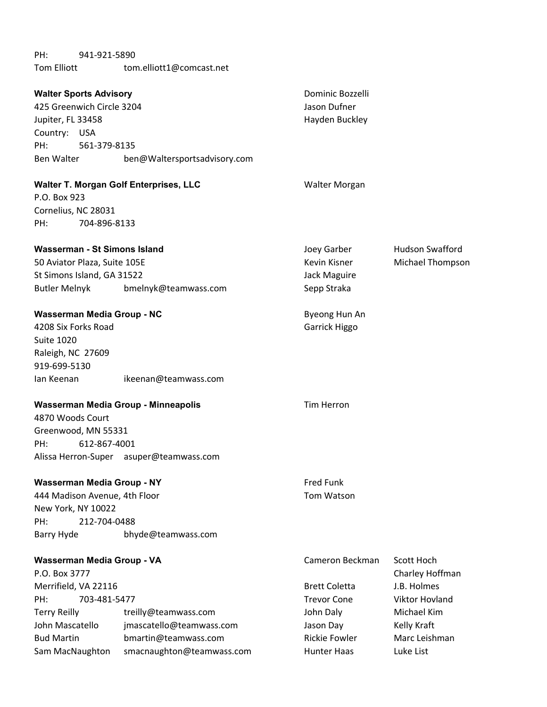PH: 941-921-5890 Tom Elliott tom.elliott1@comcast.net

| <b>Walter Sports Advisory</b><br>425 Greenwich Circle 3204<br>Jupiter, FL 33458<br>Country: USA<br>PH:<br>561-379-8135<br>Ben Walter Theory | ben@Waltersportsadvisory.com            | Dominic Bozzelli<br>Jason Dufner<br>Hayden Buckley |                        |
|---------------------------------------------------------------------------------------------------------------------------------------------|-----------------------------------------|----------------------------------------------------|------------------------|
| Walter T. Morgan Golf Enterprises, LLC<br>P.O. Box 923                                                                                      |                                         | Walter Morgan                                      |                        |
|                                                                                                                                             |                                         |                                                    |                        |
| Cornelius, NC 28031<br>704-896-8133<br>PH:                                                                                                  |                                         |                                                    |                        |
|                                                                                                                                             |                                         |                                                    |                        |
| Wasserman - St Simons Island                                                                                                                |                                         | Joey Garber                                        | <b>Hudson Swafford</b> |
| 50 Aviator Plaza, Suite 105E                                                                                                                |                                         | <b>Kevin Kisner</b>                                | Michael Thompson       |
| St Simons Island, GA 31522                                                                                                                  |                                         | Jack Maguire                                       |                        |
| Butler Melnyk                                                                                                                               | bmelnyk@teamwass.com                    | Sepp Straka                                        |                        |
|                                                                                                                                             |                                         |                                                    |                        |
| Wasserman Media Group - NC                                                                                                                  |                                         | Byeong Hun An                                      |                        |
| 4208 Six Forks Road                                                                                                                         |                                         | Garrick Higgo                                      |                        |
| <b>Suite 1020</b>                                                                                                                           |                                         |                                                    |                        |
| Raleigh, NC 27609                                                                                                                           |                                         |                                                    |                        |
| 919-699-5130                                                                                                                                |                                         |                                                    |                        |
| lan Keenan                                                                                                                                  | ikeenan@teamwass.com                    |                                                    |                        |
| Wasserman Media Group - Minneapolis                                                                                                         |                                         | <b>Tim Herron</b>                                  |                        |
| 4870 Woods Court                                                                                                                            |                                         |                                                    |                        |
| Greenwood, MN 55331                                                                                                                         |                                         |                                                    |                        |
| PH:<br>612-867-4001                                                                                                                         |                                         |                                                    |                        |
|                                                                                                                                             | Alissa Herron-Super asuper@teamwass.com |                                                    |                        |
| Wasserman Media Group - NY                                                                                                                  |                                         | Fred Funk                                          |                        |
| 444 Madison Avenue, 4th Floor                                                                                                               |                                         | Tom Watson                                         |                        |
| New York, NY 10022                                                                                                                          |                                         |                                                    |                        |
| 212-704-0488<br>PH:                                                                                                                         |                                         |                                                    |                        |
| Barry Hyde                                                                                                                                  | bhyde@teamwass.com                      |                                                    |                        |
| Wasserman Media Group - VA                                                                                                                  |                                         | Cameron Beckman                                    | Scott Hoch             |
| P.O. Box 3777                                                                                                                               |                                         |                                                    | Charley Hoffman        |
| Merrifield, VA 22116                                                                                                                        |                                         | <b>Brett Coletta</b>                               | J.B. Holmes            |
| 703-481-5477<br>PH:                                                                                                                         |                                         | <b>Trevor Cone</b>                                 | <b>Viktor Hovland</b>  |
| <b>Terry Reilly</b>                                                                                                                         | treilly@teamwass.com                    | John Daly                                          | Michael Kim            |
| John Mascatello                                                                                                                             | jmascatello@teamwass.com                | Jason Day                                          | Kelly Kraft            |
| <b>Bud Martin</b>                                                                                                                           | bmartin@teamwass.com                    | <b>Rickie Fowler</b>                               | Marc Leishman          |
| Sam MacNaughton                                                                                                                             | smacnaughton@teamwass.com               | <b>Hunter Haas</b>                                 | Luke List              |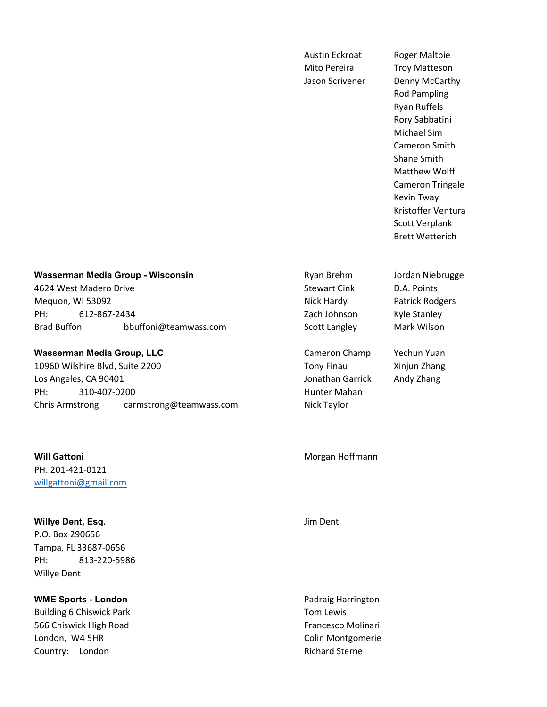Austin Eckroat Roger Maltbie Mito Pereira Troy Matteson

Jason Scrivener Denny McCarthy Rod Pampling Ryan Ruffels Rory Sabbatini Michael Sim Cameron Smith Shane Smith Matthew Wolff Cameron Tringale Kevin Tway Kristoffer Ventura Scott Verplank Brett Wetterich

### Wasserman Media Group - Wisconsin **Redia Brehm Media Group - Wisconsin** Research Ryan Brehm Jordan Niebrugge

4624 West Madero Drive No. 2008 Stewart Cink D.A. Points Mequon, WI 53092 **Nick Hardy Patrick Rodgers** Patrick Rodgers PH: 612-867-2434 612-867-2434 612-867-2434 Brad Buffoni bbuffoni@teamwass.com Scott Langley Mark Wilson

# Wasserman Media Group, LLC **Cameron Champ** Yechun Yuan

10960 Wilshire Blvd, Suite 2200 **Tony Finau** Tony Finau Xinjun Zhang Los Angeles, CA 90401 Jonathan Garrick Andy Zhang PH: 310-407-0200 **Hunter Mahan** Chris Armstrong carmstrong@teamwass.com Nick Taylor

**Will Gattoni** Morgan Hoffmann PH: 201-421-0121 willgattoni@gmail.com

Willye Dent, Esq. **Willye Dent**, Esq. **Jim Dent** P.O. Box 290656 Tampa, FL 33687-0656 PH: 813-220-5986 Willye Dent

WME Sports - London **Padraig Harrington** Padraig Harrington Building 6 Chiswick Park Tom Lewis 566 Chiswick High Road **Francesco Molinari** Francesco Molinari London, W4 5HR Colin Montgomerie Country: London Richard Sterne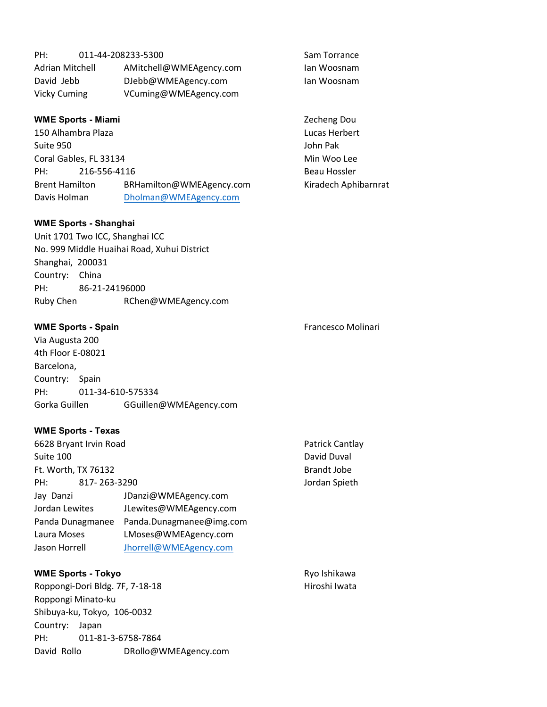| PH:             | 011-44-208233-5300      | Sam Torrance |
|-----------------|-------------------------|--------------|
| Adrian Mitchell | AMitchell@WMEAgency.com | lan Woosnam  |
| David Jebb      | DJebb@WMEAgency.com     | lan Woosnam  |
| Vicky Cuming    | VCuming@WMEAgency.com   |              |

# WME Sports - Miami **WME Sports - Miami** 2echeng Dou

150 Alhambra Plaza **Lucas Herbert** Suite 950 John Pak Coral Gables, FL 33134 Min Woo Lee PH: 216-556-4116 Beau Hossler Brent Hamilton BRHamilton@WMEAgency.com Kiradech Aphibarnrat Davis Holman Dholman@WMEAgency.com

# WME Sports - Shanghai

Unit 1701 Two ICC, Shanghai ICC No. 999 Middle Huaihai Road, Xuhui District Shanghai, 200031 Country: China PH: 86-21-24196000 Ruby Chen RChen@WMEAgency.com

# WME Sports - Spain Francesco Molinari

Via Augusta 200 4th Floor E-08021 Barcelona, Country: Spain PH: 011-34-610-575334 Gorka Guillen GGuillen@WMEAgency.com

# WME Sports - Texas

| 6628 Bryant Irvin Road |                          | Patrick Cantlay |
|------------------------|--------------------------|-----------------|
| Suite 100              |                          | David Duval     |
| Ft. Worth, TX 76132    |                          | Brandt Jobe     |
| 817-263-3290<br>PH:    |                          | Jordan Spieth   |
| Jay Danzi              | JDanzi@WMEAgency.com     |                 |
| Jordan Lewites         | JLewites@WMEAgency.com   |                 |
| Panda Dunagmanee       | Panda.Dunagmanee@img.com |                 |
| Laura Moses            | LMoses@WMEAgency.com     |                 |
| Jason Horrell          | Jhorrell@WMEAgency.com   |                 |

# WME Sports - Tokyo **Ryo Ishikawa** Ryo Ishikawa Roppongi-Dori Bldg. 7F, 7-18-18 Hiroshi Iwata Roppongi Minato-ku Shibuya-ku, Tokyo, 106-0032 Country: Japan PH: 011-81-3-6758-7864 David Rollo DRollo@WMEAgency.com